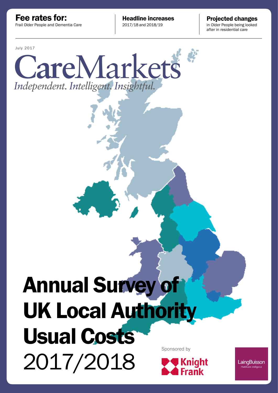Frail Older People and Dementia Care Fee rates for:

**Headline increases Projected changes**<br>2017/18 and 2018/19<br>in Older People being looked

in Older People being looked after in residential care

July 2017



# Annual Survey of UK Local Authority Usual Costs Sponsored by2017/2018 **Knight Frank**

LaingBuisson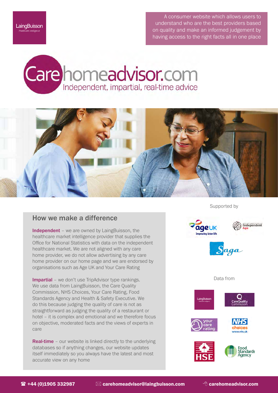A consumer website which allows users to understand who are the best providers based on quality and make an informed judgement by having access to the right facts all in one place





#### How we make a difference

Independent - we are owned by LaingBuisson, the healthcare market intelligence provider that supplies the Office for National Statistics with data on the independent healthcare market. We are not aligned with any care home provider, we do not allow advertising by any care home provider on our home page and we are endorsed by organisations such as Age UK and Your Care Rating

Impartial – we don't use TripAdvisor type rankings. We use data from LaingBuisson, the Care Quality Commission, NHS Choices, Your Care Rating, Food Standards Agency and Health & Safety Executive. We do this because judging the quality of care is not as straightforward as judging the quality of a restaurant or hotel – it is complex and emotional and we therefore focus on objective, moderated facts and the views of experts in care

**Real-time** – our website is linked directly to the underlying databases so if anything changes, our website updates itself immediately so you always have the latest and most accurate view on any home

Supported by







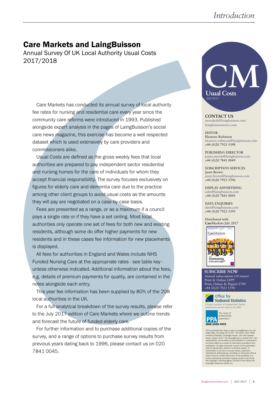### Care Markets and LaingBuisson

Annual Survey Of UK Local Authority Usual Costs 2017/2018

Care Markets has conducted its annual survey of local authority fee rates for nursing and residential care every year since the community care reforms were introduced in 1993. Published alongside expert analysis in the pages of LaingBuisson's social care news magazine, this exercise has become a well respected dataset which is used extensively by care providers and commissioners alike.

Usual Costs are defined as the gross weekly fees that local authorities are prepared to pay independent sector residential and nursing homes for the care of individuals for whom they accept financial responsibility. The survey focuses exclusively on figures for elderly care and dementia care due to the practice among other client groups to avoid usual costs as the amounts they will pay are negotiated on a case-by-case basis.

Fees are presented as a range, or as a maximum if a council pays a single rate or if they have a set ceiling. Most local authorities only operate one set of fees for both new and existing residents, although some do offer higher payments for new residents and in these cases fee information for new placements is displayed.

All fees for authorities in England and Wales include NHS Funded Nursing Care at the appropriate rates - see table key unless otherwise indicated. Additional information about the fees, e.g. details of premium payments for quality, are contained in the notes alongside each entry.

This year fee information has been supplied by 80% of the 208 local authorities in the UK.

For a full analytical breakdown of the survey results, please refer to the July 2017 edition of Care Markets where we outline trends and forecast the future of funded elderly care.

For further information and to purchase additional copies of the survey, and a range of options to purchase survey results from previous years dating back to 1996, please contact us on 020 7841 0045.



**CONTACT US** newsdesk@laingbuisson.com laingbuissonnews.com

EDITOR Eleanore Robinson eleanore.robinson@laingbuisson.com +44 (0)20 7923 5398

PUBLISHING DIRECTOR justin.merritt@laingbuisson.com +44 (0)20 7841 0049

SUBSCRIPTION SERVICES Janet Brown janet.brown@laingbuisson.com +44 (0)20 7923 5396

DISPLAY ADVERTISING sales@laingbuisson.com +44 (0)20 7841 0045

DATA ENQUIRIES data@laingbuisson.com +44 (0)20 7923 5395

Distributed with **Care**Markets July 2017

CareMarkets



Annual subscription (10 issues) Print & Online £499 Print, Online & Digital £749 +44 (0)20 7923 5390 **SUBSCRIBE NOW**





CM is published ten times a year by LaingBuisson Ltd, 29<br>Angle Gate, City Road, EC1V 2PT. +44 (0)20 7923 5390<br>Printed by Rapidity, Citybridge House, 235-245 Goswell<br>Road, London, EC1V 7JD ®LaingBuisson Limited 2017. No<br>res either the prior written permission of the publisher or a licence permitting restricted copying issued in the UK by the Copyright Licensing Agency Ltd and in the USA by the Copyright Clearance Center Inc.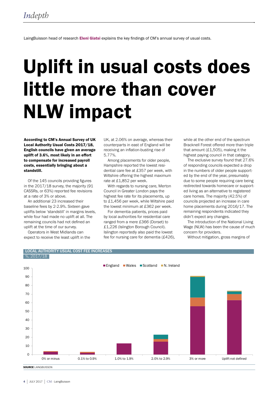LaingBuisson head of research Eleni Giatsi explains the key findings of CM's annual survey of usual costs.

# Uplift in usual costs does little more than cover NLW impact

According to CM's Annual Survey of UK Local Authority Usual Costs 2017/18, English councils have given an average uplift of 3.6%, most likely in an effort to compensate for increased payroll costs, essentially bringing about a standstill.

Of the 145 councils providing figures in the 2017/18 survey, the majority (91 CASSRs, or 63%) reported fee revisions at a rate of 3% or above.

An additional 23 increased their baseline fees by 2-2.9%. Sixteen gave uplifts below 'standstill' in margins levels, while four had made no uplift at all. The remaining councils had not defined an uplift at the time of our survey.

Operators in West Midlands can expect to receive the least uplift in the

LOCAL AUTHORITY USUAL COST FEE INCREASES

UK, at 2.06% on average, whereas their counterparts in east of England will be receiving an inflation-busting rise of 5.77%.

Among placements for older people, Hampshire reported the lowest residential care fee at £357 per week, with Wiltshire offering the highest maximum rate at £1,852 per week.

With regards to nursing care, Merton Council in Greater London pays the highest fee rate for its placements, up to £1,456 per week, while Wiltshire paid the lowest minimum at £362 per week.

For dementia patients, prices paid by local authorities for residential care ranged from a mere £366 (Dorset) to £1,226 (Islington Borough Council). Islington reportedly also paid the lowest fee for nursing care for dementia (£426), while at the other end of the spectrum Bracknell Forest offered more than triple that amount (£1,505), making it the highest paying council in that category.

The exclusive survey found that 27.6% of responding councils expected a drop in the numbers of older people supported by the end of the year, presumably due to some people requiring care being redirected towards homecare or supported living as an alternative to registered care homes. The majority (42.5%) of councils projected an increase in care home placements during 2016/17. The remaining respondents indicated they didn't expect any changes.

The introduction of the National Living Wage (NLW) has been the cause of much concern for providers.

Without mitigation, gross margins of



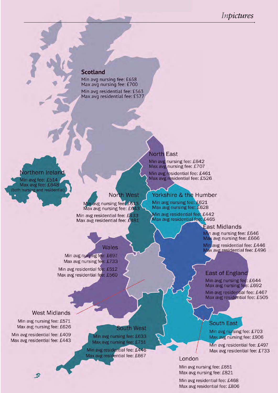#### **Scotland**

Min avg nursing fee: £658 Max avg nursing fee: £700 Min avg residential fee: £563 Max avg residential fee: £577

### Northern Ireland

Min avg fee: £514 Max avg fee: £648 (both nursing and residential)

#### North West

Min avg nursing feet £613 Max avg nursing fee: £643 Min avg residential fee: £433 Max avg residential fee: £481

**Wales** 

Min avg nursing fee: £697 Max avg nursing fee: £733 Min avg residential fee: £512

Max avg residential fee: £560

### **North East**

Min avg nursing fee: £642 Max avg nursing fee: £707

Min avg residential fee: £461 Max avg residential fee: £526

#### Yorkshire & the Humber

Min avg nursing fee: £621 Max avg nursing fee: £628

Min avg residential fee: £442 Max avg residential fee: £465

#### **East Midlands**

Min avg nursing fee: £646 Max avg nursing fee: £666

Min avg residential fee: £446 Max avg residential fee: £496

#### **East of England**

Min avg nursing fee: £644 Max avg nursing fee: £692 Min avg residential fee: £467

Max avg residential fee: £505

## **West Midlands**

Min avg nursing fee: £571 Max avg nursing fee: £626

Min avg residential fee: £409 Max avg residential fee: £443

.5

#### **South West**

Min avg nursing fee: £633 Max avg nursing fee: £751

Min avg residential fee: £446 Max avg residential fee: £667

#### **South East**

Min avg nursing fee: £703 Max avg nursing fee: £906

Min avg residential fee: £497 Max avg residential fee: £733

#### London

Min avg nursing fee: £651 Max avg nursing fee: £821

Min avg residential fee: £468 Max avg residential fee: £806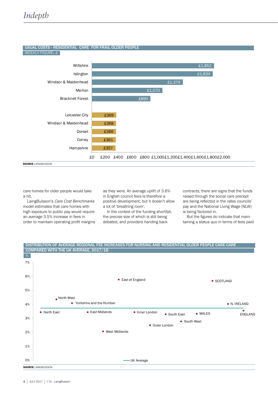#### USUAL COSTS - RESIDENTIAL CARE FOR FRAIL OLDER PEOPLE

WEEKLY FIGURE, £



care homes for older people would take a hit.

LaingBuisson's Care Cost Benchmarks model estimates that care homes with high exposure to public pay would require an average 3.5% increase in fees in order to maintain operating profit margins as they were. An average uplift of 3.6% in English council fees is therefore a positive development, but it doesn't allow a lot of 'breathing room'.

In the context of the funding shortfall, the precise size of which is still being debated, and providers handing back

contracts, there are signs that the funds raised through the social care precept are being reflected in the rates councils' pay and the National Living Wage (NLW) is being factored in.

But the figures do indicate that maintaining a status quo in terms of fees paid

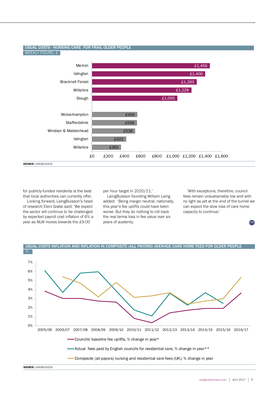#### USUAL COSTS - NURSING CARE FOR FRAIL OLDER PEOPLE WEEKLY FIGURE, £



for publicly-funded residents is the best that local authorities can currently offer.

Looking forward, LaingBuisson's head of research Eleni Giatsi said: 'We expect the sector will continue to be challenged by expected payroll cost inflation of 6% a year as NLW moves towards the £9.00

per hour target in 2020/21.'

LaingBuisson founding William Laing added: 'Being margin neutral, nationally, this year's fee uplifts could have been worse. But they do nothing to roll back the real terms loss in fee value over six years of austerity.

'With exceptions, therefore, council fees remain unsustainably low and with no light as yet at the end of the tunnel we can expect the slow loss of care home capacity to continue.'

**CM**

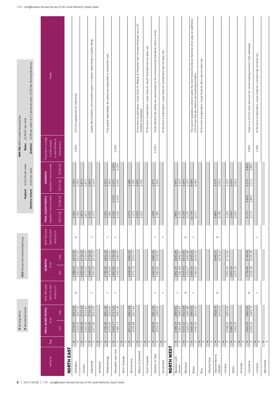|                            |                              | N Nursing Home                                             |                                                                                                                                                                                                                                                                                                                                                                                                                                                                                                                                                                     | CCG Clinical Commissioning Group                                                                                                    |                |                                               |                                  |                                   | NHS FNC NHS Funded Nursing Care                                                                                                                      |
|----------------------------|------------------------------|------------------------------------------------------------|---------------------------------------------------------------------------------------------------------------------------------------------------------------------------------------------------------------------------------------------------------------------------------------------------------------------------------------------------------------------------------------------------------------------------------------------------------------------------------------------------------------------------------------------------------------------|-------------------------------------------------------------------------------------------------------------------------------------|----------------|-----------------------------------------------|----------------------------------|-----------------------------------|------------------------------------------------------------------------------------------------------------------------------------------------------|
|                            |                              | R Residential Home                                         |                                                                                                                                                                                                                                                                                                                                                                                                                                                                                                                                                                     |                                                                                                                                     |                | England                                       | £155.05 per week                 | Wales                             | £149.67 per week                                                                                                                                     |
|                            |                              |                                                            |                                                                                                                                                                                                                                                                                                                                                                                                                                                                                                                                                                     |                                                                                                                                     |                | Northern Ireland                              | £100 per week                    | Scotland                          | £249 per week (£171 personal care / £78 Free Nursing Allowance                                                                                       |
|                            |                              |                                                            |                                                                                                                                                                                                                                                                                                                                                                                                                                                                                                                                                                     |                                                                                                                                     |                |                                               |                                  |                                   |                                                                                                                                                      |
|                            |                              | FRAIL OLDER PEOPLE                                         | NHS FNC paid                                                                                                                                                                                                                                                                                                                                                                                                                                                                                                                                                        | <b>DEMENTIA</b>                                                                                                                     | NHS FNC paid   | FRAIL OLDER PEOPLE                            | <b>DEMENTIA</b>                  | Projected % change                |                                                                                                                                                      |
| Authority                  | Reg.                         | $\pounds / \mathsf{w} \mathsf{k}$                          | direct to care                                                                                                                                                                                                                                                                                                                                                                                                                                                                                                                                                      | $\pounds / \mathsf{wk}$                                                                                                             | direct to care | Headline % fee increase                       | Headline % fee increase          | in older people                   | Notes                                                                                                                                                |
|                            |                              | max<br>$\widetilde{\mathsf{min}}$                          | home by LA                                                                                                                                                                                                                                                                                                                                                                                                                                                                                                                                                          | max<br>$\frac{c}{\overline{E}}$                                                                                                     | home by LA     | 2018/19<br>2017/18                            | 2017/18 2018/19                  | in care homes at<br>financial y/e |                                                                                                                                                      |
| NORTH EAST                 |                              |                                                            |                                                                                                                                                                                                                                                                                                                                                                                                                                                                                                                                                                     |                                                                                                                                     |                |                                               |                                  |                                   |                                                                                                                                                      |
| Darlington                 | $\,$ $\,$                    | £662.05<br>£578.05                                         | $\mathbb Z$                                                                                                                                                                                                                                                                                                                                                                                                                                                                                                                                                         | £672.05<br>£588.05                                                                                                                  | $\mathbb Z$    | 2.44%                                         | 2.39%                            | 0.00%                             | £10.00 supplement for Dementia.                                                                                                                      |
|                            | $\simeq$                     | £507.00<br>£423.00                                         |                                                                                                                                                                                                                                                                                                                                                                                                                                                                                                                                                                     | £517.00<br>£433.00                                                                                                                  |                | 2.44%                                         | 2.39%                            |                                   |                                                                                                                                                      |
| Durham                     | $\vert z \vert$<br>$\simeq$  | $\pounds 715.15$<br>£534.81<br>£450.34<br>£630.06          |                                                                                                                                                                                                                                                                                                                                                                                                                                                                                                                                                                     | £630.06<br>£470.32                                                                                                                  |                | 3.87%                                         | 3.87%<br>3.87%                   |                                   |                                                                                                                                                      |
| Gateshead                  | z <br>$\simeq$               | £706.05<br>£632.05<br>£477.00                              | $\left. \right. \left. \right. \left. \right. \left. \right. \left. \right. \left. \left. \right. \left. \right. \left. \left. \right. \right. \left. \left. \right. \left. \left. \right. \right. \left. \left. \right. \left. \right. \left. \left. \right. \right. \left. \left. \right. \left. \left. \right. \right. \left. \left. \right. \right. \left. \left. \right. \right. \left. \left. \right. \left. \left. \right. \right. \left. \left. \right. \right. \left. \left. \right. \left. \left. \right. \right. \left. \left. \right. \right. \left. \$ | $\frac{\begin{array}{r}\n 6715.15 \\ \hline\n 4554.55 \\ \hline\n 6725.05 \\ \hline\n 6570.00\n \end{array}}$<br>£646.05<br>£491.00 | $\succ$        | $\frac{3.87\%}{5.22\%}$<br>3.47%              | 4.66%<br>5.14%                   |                                   | Quality Band System, with providers paid in 3 bands, depending on quality rating.                                                                    |
| Hartlepool                 | $\,$ $\,$<br>$\simeq$        |                                                            |                                                                                                                                                                                                                                                                                                                                                                                                                                                                                                                                                                     |                                                                                                                                     |                |                                               |                                  |                                   |                                                                                                                                                      |
| Middlesbrough              | $\mathsf{z}$<br>$\simeq$     | £831.30<br>£520.00<br>£479.00<br>£790.30                   | $\succ$                                                                                                                                                                                                                                                                                                                                                                                                                                                                                                                                                             | £831.30<br>£479.00<br>£790.30                                                                                                       | $\succ$        | 2.25%<br>2.99%                                | 2.30%<br>2.99%                   |                                   | Five quality dependable fee bands are applicable to residential care.                                                                                |
| Newcastle upon Tyne        | $\vert z \vert$<br>$\propto$ | £717.41<br>£562.36<br>£485.72<br>£640.77                   | $\succ$                                                                                                                                                                                                                                                                                                                                                                                                                                                                                                                                                             | £520.00<br>£584.59<br>£660.56<br>£505.51                                                                                            | $\succ$        | 5.00%<br>5.00%<br>5.03%<br>5.03%              | 5.00%<br>5.00%<br>5.03%<br>5.03% | 0.00%                             |                                                                                                                                                      |
| North Tyneside             | $\,$ $\,$<br>$\simeq$        |                                                            |                                                                                                                                                                                                                                                                                                                                                                                                                                                                                                                                                                     |                                                                                                                                     |                |                                               |                                  |                                   |                                                                                                                                                      |
| Northumbria                | $\,$ $\,$                    | £662.69<br>£611.91                                         |                                                                                                                                                                                                                                                                                                                                                                                                                                                                                                                                                                     | £690.55<br>£638.93                                                                                                                  |                | 3.27%                                         | 3.28%                            |                                   |                                                                                                                                                      |
|                            | $\,$ $\,$<br>$\simeq$        | £507.64<br>£456.86                                         |                                                                                                                                                                                                                                                                                                                                                                                                                                                                                                                                                                     | £523.74<br>£472.73                                                                                                                  |                | 3.27%<br>4.00%                                | 4.00%<br>3.29%                   |                                   |                                                                                                                                                      |
| Redcar & Cleveland         | $\simeq$                     |                                                            |                                                                                                                                                                                                                                                                                                                                                                                                                                                                                                                                                                     |                                                                                                                                     |                | 4.00%                                         | 4.00%                            |                                   | At the time of publication, Usual Costs for Redcar & Cleveland had not been finalised, but a 4%<br>increase is expected.                             |
| South Tyneside             | $\,$ $\,$<br>$\simeq$        |                                                            |                                                                                                                                                                                                                                                                                                                                                                                                                                                                                                                                                                     |                                                                                                                                     |                |                                               |                                  |                                   | At the time of publication, Usual Costs for South Tyneside had not been set.                                                                         |
| Stockton on Tees           | $\vert z \vert$<br>$\simeq$  | £651.05<br>£496.00<br>£609.05<br>£454.00                   | $\succ$                                                                                                                                                                                                                                                                                                                                                                                                                                                                                                                                                             | £683.05<br>£640.05<br>£485.00                                                                                                       | $\succ$        | $\frac{1.59\%}{2.38\%}$                       | $\frac{1.67\%}{2.44\%}$          | $3.00% +$                         | Three different fee bands are used based on the environmental standards within a home.                                                               |
| Sunderland                 | $\mathbb{Z} \mid \mathbb{C}$ |                                                            | $\succ$                                                                                                                                                                                                                                                                                                                                                                                                                                                                                                                                                             |                                                                                                                                     | $\succ$        |                                               |                                  |                                   | At the time of publication, Usual Costs for Sunderland had not been set.                                                                             |
| <b>NORTH WEST</b>          |                              |                                                            |                                                                                                                                                                                                                                                                                                                                                                                                                                                                                                                                                                     |                                                                                                                                     |                |                                               |                                  |                                   |                                                                                                                                                      |
| Blackburn with<br>Darwen   | $\,$ $\,$<br>$\simeq$        | £664.61<br>£466.91<br>£586.24                              | $\succ$                                                                                                                                                                                                                                                                                                                                                                                                                                                                                                                                                             | £691.84<br>£466.91<br>£662.30<br>£391.86                                                                                            |                | 2.85%<br>4.10%                                | 2.94%<br>4.10%                   |                                   |                                                                                                                                                      |
| Blackpool                  | $\simeq$<br> z               | $\frac{£615.93}{£460.88}$<br>£391.86<br>£575.12<br>£420.07 | z                                                                                                                                                                                                                                                                                                                                                                                                                                                                                                                                                                   | £615.93<br>£615.93<br>£420.07                                                                                                       | z              | 4.22%<br>4.22%                                | 4.34%<br>4.22%                   |                                   |                                                                                                                                                      |
| Bolton                     | z <br>$\simeq$               | £655.05<br>£605.05                                         | $\succ$                                                                                                                                                                                                                                                                                                                                                                                                                                                                                                                                                             | £655.05<br>£655.05                                                                                                                  | $\rightarrow$  | 10.73%<br>8.27%                               | 8.08%<br>8.08%                   |                                   | The council operates a scheme called the Care Home Excellence Scheme which pays an additional<br>£10.00 per bed per week to participating providers. |
| Bury                       | $\,$ $\,$<br>$\simeq$        |                                                            |                                                                                                                                                                                                                                                                                                                                                                                                                                                                                                                                                                     |                                                                                                                                     |                |                                               |                                  |                                   | At the time of publication, Usual Costs for Bury had not been set                                                                                    |
| Cheshire East              | z<br>$\simeq$                |                                                            |                                                                                                                                                                                                                                                                                                                                                                                                                                                                                                                                                                     |                                                                                                                                     |                |                                               |                                  |                                   |                                                                                                                                                      |
| Cheshire West &<br>Chester | $\simeq$<br>$\,$ $\,$        | £628.70<br>£419.42                                         | $\mathbb Z$                                                                                                                                                                                                                                                                                                                                                                                                                                                                                                                                                         | £649.27<br>£478.10                                                                                                                  | $\mathbb Z$    | 8.78%<br>6.86%                                | 3.37%<br>0.00%                   |                                   |                                                                                                                                                      |
| Cumbria                    | $\simeq$<br>$\,$ $\,$        | £659.00<br>£508.00                                         |                                                                                                                                                                                                                                                                                                                                                                                                                                                                                                                                                                     | £722.00<br>£555.00                                                                                                                  |                |                                               | 3.15%                            |                                   |                                                                                                                                                      |
| Halton                     | $\,$ $\,$<br>$\simeq$        | £585.72<br>£403.03                                         |                                                                                                                                                                                                                                                                                                                                                                                                                                                                                                                                                                     | £650.33<br>£475.19                                                                                                                  |                | $\frac{3.19\%}{3.00\%}$<br>$\frac{8}{3.00\%}$ | 3.00%<br>3.00%                   |                                   |                                                                                                                                                      |
| Knowsley                   | z<br>$\simeq$                |                                                            |                                                                                                                                                                                                                                                                                                                                                                                                                                                                                                                                                                     |                                                                                                                                     |                |                                               |                                  |                                   |                                                                                                                                                      |
| Lancashire                 | $\, \geq$<br>$\simeq$        | £660.55<br>£499.76<br>£650.55<br>£434.10                   | z                                                                                                                                                                                                                                                                                                                                                                                                                                                                                                                                                                   | £749.49<br>£535.38<br>£739.49<br>£525.38                                                                                            |                | 4.80%<br>$4.80\%$<br>4.17%<br>4.17%           | 4.80%<br>4.80%<br>4.17%<br>4.17% | 4.80%                             | There is a £10.00 room premium for rooms meeting minimum CQC standards.                                                                              |
| Liverpool                  | $\,$ $\,$                    |                                                            | $\succ$                                                                                                                                                                                                                                                                                                                                                                                                                                                                                                                                                             |                                                                                                                                     | $\succ$        |                                               |                                  | 1.00%                             | At the time of publication, Usual Costs for Liverpool had not been set.                                                                              |
| Manchester                 | $\alpha \geq \alpha$         |                                                            |                                                                                                                                                                                                                                                                                                                                                                                                                                                                                                                                                                     |                                                                                                                                     |                |                                               |                                  |                                   |                                                                                                                                                      |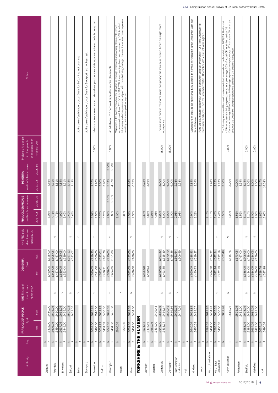| Notes                                                 |                                   |                    |                                          |                    |                    |           |          | At the time of publication, Usual Costs for Sefton had not been set. | At the time of publication, Usual Costs for Stockport had not been set. | Maximum fees are enhanced rates where providers are able to prove certain criteria is being met. |                    | An additional £35 per week is paid for respite placements. |                    | Wigan has a fee banding structure for standard in-borough residential and nursing placements, based<br>on assessed need. From 2016/17 to 2017/18, these bandings have been increased by 3-5% to reflect<br>a celling on the rates pa |         |                                          |            |             |         |                               | The minimum price is for shared room occupancy; the maximum price is based on single room | occupancy                     |                          |                             |                                      | Dementia fees include an additional £20, eligible to homes participating in the Dementia Care Fee<br>Rate Scheme. | Fees are set in accordance with Leeds' framework contract cycle which runs from December to<br>December each year. Fees for December 2016 - December 2017 are yet to be agreed. |                    |                    |                                          |           | The following formula will be used to calculate inflation awards for the financial year 2018/19: Residential<br>- 45% of increase in living wage expressed as a percentage. 55% of actual CPI as at the previous 31<br>December. Nur<br>previous 31 December. Workplace pensions additional 1% added to living wage |         |           |                                          |         |                               |                    |
|-------------------------------------------------------|-----------------------------------|--------------------|------------------------------------------|--------------------|--------------------|-----------|----------|----------------------------------------------------------------------|-------------------------------------------------------------------------|--------------------------------------------------------------------------------------------------|--------------------|------------------------------------------------------------|--------------------|--------------------------------------------------------------------------------------------------------------------------------------------------------------------------------------------------------------------------------------|---------|------------------------------------------|------------|-------------|---------|-------------------------------|-------------------------------------------------------------------------------------------|-------------------------------|--------------------------|-----------------------------|--------------------------------------|-------------------------------------------------------------------------------------------------------------------|---------------------------------------------------------------------------------------------------------------------------------------------------------------------------------|--------------------|--------------------|------------------------------------------|-----------|---------------------------------------------------------------------------------------------------------------------------------------------------------------------------------------------------------------------------------------------------------------------------------------------------------------------|---------|-----------|------------------------------------------|---------|-------------------------------|--------------------|
| Projected % change<br>in older people                 | in care homes at<br>financial y/e |                    |                                          |                    |                    |           |          |                                                                      |                                                                         | 0.00%                                                                                            |                    | 3.00%                                                      |                    |                                                                                                                                                                                                                                      |         |                                          |            |             |         |                               | $(8.00\%)$                                                                                |                               | $(8.00\%)$               |                             |                                      |                                                                                                                   |                                                                                                                                                                                 |                    |                    |                                          |           | 0.00%                                                                                                                                                                                                                                                                                                               |         |           | 2.00%                                    |         | 0.00%                         |                    |
| Headline % fee increase<br><b>DEMENTIA</b>            | 2018/19<br>2017/18                | 4.35%              | 4.71%<br>3.31%                           | 4.84%              | 3.51%              | 2.42%     | 2.42%    |                                                                      |                                                                         | 2.07%<br>2.76%                                                                                   | 3.20%              | 5.00%<br>5.03%<br>3.20%                                    | 5.00%<br>4.97%     |                                                                                                                                                                                                                                      | 4.38%   | 6.55%                                    |            | 8.73%       | 3.86%   |                               | 8.00%                                                                                     | 6.00%<br>8.00%                | 6.00%                    | 2.98%<br>2.98%              |                                      | 2.83%<br>3.09%                                                                                                    |                                                                                                                                                                                 |                    | 2.78%              | 2.23%<br>2.23%                           | 3.50%     | 3.20%                                                                                                                                                                                                                                                                                                               | 0.00%   | 3.54%     | 3.14%<br>3.06%                           | 3.00%   | 3.00%                         | 5.17%<br>14.68%    |
| Headline % fee increase<br>FRAIL OLDER PEOPLE         | 2018/19<br>2017/18                | 5.06%              | 4.71%<br>4.71%                           | 4.92%              | 3.42%              | 2.42%     | 2.42%    |                                                                      |                                                                         | 2.08%<br>2.56%                                                                                   | 3.20%              | 5.00%<br>4.93%<br>3.20%                                    | 5.00%<br>5.03%     | 3.00%<br>3.00%                                                                                                                                                                                                                       | 4.38%   | 4.33%                                    |            | 2.56%       | 3.86%   | 3.96%<br>4.06%                | 8.00%                                                                                     | 6.00%<br>8.00%                | 6.00%                    | 2.98%<br>2.98%              |                                      | 2.94%<br>3.23%                                                                                                    |                                                                                                                                                                                 | 3.10%              | 3.10%              | 2.44%<br>2.44%                           | 3.50%     | 3.20%                                                                                                                                                                                                                                                                                                               | 3.56%   | 3.59%     | 3.14%<br>3.14%                           | 3.00%   | 3.00%                         | $1.86\%$<br>12.60% |
| NHS FNC paid<br>direct to care                        | home by LA                        |                    | $\mathbb Z$                              |                    |                    | z         |          | $\succ$                                                              |                                                                         | $\succ$                                                                                          |                    | $\succ$                                                    |                    |                                                                                                                                                                                                                                      |         | z                                        |            |             |         |                               | z                                                                                         |                               | z                        | $\succ$                     |                                      |                                                                                                                   |                                                                                                                                                                                 |                    |                    | $\succ$                                  |           | $\mathbb Z$                                                                                                                                                                                                                                                                                                         |         |           | z                                        |         | $\,$ $\,$                     |                    |
| <b>DEMENTIA</b><br>$\pounds/\mathsf{w} \mathsf{k}$    | max<br>$\frac{1}{2}$              | £525.00<br>£460.00 | £605.05<br>£457.00<br>£605.05<br>£457.00 | £705.05<br>£689.05 | £539.00<br>£523.00 | £597.12   | £442.07  |                                                                      |                                                                         | £719.35<br>£560.00<br>£680.05<br>£521.00                                                         | £692.01<br>£692.01 | £720.05<br>£481.78<br>£676.05<br>£436.21                   | £551.00<br>£484.00 |                                                                                                                                                                                                                                      |         | £632.05<br>£488.00<br>£632.05<br>£488.00 |            | £605.98     | £450.93 |                               | £691.89<br>£669.95                                                                        | £515.39<br>£493.45            | £670.70<br>£465.36       | £661.64<br>£506.59          |                                      | £688.83<br>£519.27<br>£660.09<br>£490.53                                                                          |                                                                                                                                                                                 |                    | £514.92<br>£484.50 | £647.24<br>£492.19<br>£627.24<br>£472.19 | £662.48   | £515.76                                                                                                                                                                                                                                                                                                             | £673.05 | £467.00   | £608.05<br>£438.00<br>£588.05<br>£434.00 | £634.05 | £634.05<br>£479.00<br>£479.00 | £718.78<br>£527.88 |
| NHS FNC paid<br>direct to care                        | home by LA                        |                    | $\mathbb Z$                              |                    | $\left. \right.$   | Z         |          | $\succ$                                                              |                                                                         | $\succ$                                                                                          |                    | $\succ$                                                    |                    | $\succ$                                                                                                                                                                                                                              |         | z                                        |            |             |         |                               | $\mathbb Z$                                                                               |                               | $\mathsf z$              | $\succ$                     |                                      |                                                                                                                   |                                                                                                                                                                                 |                    |                    | $\succ$                                  |           | $\mathbb Z$                                                                                                                                                                                                                                                                                                         |         |           | z                                        |         | $\,$ $\,$                     |                    |
| FRAIL OLDER PEOPLE<br>$\pounds/\mathsf{w} \mathsf{k}$ | max<br>$\frac{1}{2}$              | £480.00<br>£415.00 | £605.05<br>£450.00<br>£605.05<br>£450.00 | £653.05<br>£637.05 | £465.00<br>£449.00 | £597.12   | £442.07  |                                                                      |                                                                         | £516.00<br>£675.35<br>£639.50<br>£480.00                                                         | £632.72<br>£632.72 | £460.36<br>£698.05<br>£643.05<br>£431.39                   | £485.00<br>£434.00 | £566.05<br>£370.00                                                                                                                                                                                                                   | £632.05 | £632.05<br>£434.00<br>£434.00            | THE HUMBER | £571.61     | £416.56 | £479.43<br>£434.70<br>£662.06 | £669.95<br>£646.10                                                                        | £620.41<br>£455.67<br>£433.74 | £465.36                  | £602.14<br>£447.09          |                                      | £668.83<br>£499.27<br>£640.09<br>£470.53                                                                          |                                                                                                                                                                                 | £619.97<br>£589.55 | £464.92<br>£434.50 | £605.55<br>£450.50<br>£585.55<br>£430.05 | £662.48   | £515.76                                                                                                                                                                                                                                                                                                             | £591.05 | £432.00   | £608.05<br>£430.00<br>£588.05<br>£389.00 | £634.05 | £634.05<br>£479.00<br>£479.00 | £674.19<br>£490.64 |
| Reg.                                                  |                                   | $z \propto$        | $z \propto$                              |                    | $z \propto$        | $\, \geq$ | $\simeq$ | $\, \geq \,$ $\, \simeq$                                             | $\, \geq$<br>$\simeq$                                                   | $z \propto$                                                                                      | $z \propto$        | $\mathsf{z}$                                               | $\simeq$           | $\,$ $\,$<br>$\simeq$                                                                                                                                                                                                                | $\geq$  | $\simeq$                                 | ళ          | $z \propto$ |         | $\mathbb Z$ $\mathbbm{C}$     | $\mathbb Z~\cong$                                                                         |                               | $\, \geq \,$ $\, \alpha$ | $z \propto$                 | $z \propto$                          | $\vert z \vert$<br>$\simeq$                                                                                       | $z \propto$                                                                                                                                                                     |                    | $z \propto$        | $z \propto$                              | $\,$ $\,$ | $\simeq$                                                                                                                                                                                                                                                                                                            | z       | $\simeq$  | $\, \geq$<br>$\simeq$                    |         | $\, \geq \,$ $\, \simeq$      | $z \propto$        |
| Authority                                             |                                   | Oldham             | Rochdale                                 |                    | St Helens          | Salford   |          | Sefton                                                               | Stockport                                                               | Tameside                                                                                         | Trafford           | Warrington                                                 |                    | Wigan                                                                                                                                                                                                                                |         | Wirral                                   | YORKSHIRE  | Barnsley    |         | Bradford                      | Calderdale                                                                                |                               | Doncaster                | East Riding of<br>Yorkshire | $\overline{\overline{\overline{z}}}$ | Kirklees                                                                                                          | Leeds                                                                                                                                                                           |                    | North Lincolnshire | Lincolnshire<br>North East               |           | North Yorkshire                                                                                                                                                                                                                                                                                                     |         | Rotherham | Sheffield                                |         | Wakefield                     | York               |

laingbuissonnews.com | 2017/2018 | 9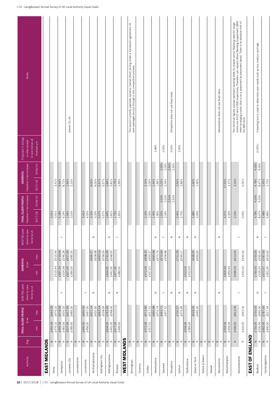| The minimum figures quoted represent banding rates for shared rooms. Banding rates for single<br>rooms are £422 and £458 respectively. Providers can request Above Banding Supplement (ABS)<br>whe ABS leveling a price (this is on<br>The council currently operates dynamic market driven pricing under a framework agreement. All<br>banding tool is used to determine care needs such as low, medium and high.<br>care packages are put through a mini competition process.<br>Warwickshire does not use fixed rates<br>Shropshire does not use fixed rates.<br>Interim 2% lift.<br>$\prec$<br>in care homes at<br>financial y/e<br>$(2.00\%)$<br>0.00%<br>0.00%<br>2.00%<br>1.86%<br>2.00%<br>2.50%<br>2.50%<br>4.00%<br>2.00%<br>4.00%<br>2017/18 2018/19<br>$1.94\%$<br>2.84%<br>1.75%<br>$1.40\%$<br>$17.50\%$<br>$1.47\%$<br>1.45%<br>9.44%<br>6.00%<br>5.57%<br>2.81%<br>2.10%<br>1.02%<br>2.50%<br>2.89%<br>1.90%<br>4.78%<br>8.47%<br>3.41%<br>8.72%<br>5.57%<br>2.34%<br>2.23%<br>0.00%<br>2.10%<br>6.00%<br>1.69%<br>2.00%<br>1.89%<br>1.90%<br>2.50%<br>2.00%<br>4.00%<br>2.00%<br>2.50%<br>4.00%<br>2018/19<br>$1.94\%$<br>3.33%<br>2.84%<br>1.75%<br>1.40%<br>1.02%<br>4.47%<br>$1.48\%$<br>2017/18<br>3.41%<br>5.18%<br>4.24%<br>3.41%<br>4.55%<br>5.57%<br>5.57%<br>2.81%<br>2.10%<br>2.40%<br>2.70%<br>1.98%<br>4.78%<br>8.47%<br>3.41%<br>3.33%<br>1.81%<br>2.00%<br>1.89%<br>2.34%<br>2.00%<br>2.30%<br>2.23%<br>0.00%<br>2.02%<br>$\,$ $\,$<br>z<br>z<br>$\mathbb Z$<br>$\left. \right. \right. \left. \right. \left. \right. \left. \right. \left. \right. \left. \right. \left. \left. \right. \left. \right. \left. \right. \left. \left. \right. \right. \left. \left. \right. \left. \left. \right. \right. \left. \left. \right. \left. \right. \left. \left. \right. \right. \left. \left. \right. \right. \left. \left. \right. \left. \right. \left. \right. \left. \left. \right. \right. \left. \left. \right. \left. \right. \left. \left. \right. \right. \left. \left. \right. \right. \left. \left. \right. \right. \left. \$<br>$\mathbb Z$<br>$\mathbb Z$<br>$\mathsf z$<br>z<br>$\mathsf z$<br>$\succ$<br>$\succ$<br>$\succ$<br>$\succ$<br>£627.05<br>£485.00<br>£690.98<br>$£787.00$<br>£619.00<br>£719.04<br>£693.14<br>£761.05<br>£751.09<br>£638.05<br>$\frac{2}{2750.05}$<br>£546.28<br>£666.27<br>£508.98<br>£538.09<br>£608.32<br>£570.94<br>£442.00<br>£595.00<br>£515.44<br>£548.00<br>£470.79<br>£458.68<br>£464.00<br>£613.05<br>£549.17<br>£453.27<br>max<br>£677.05<br>£480.00<br>£697.34<br>£627.05<br>£390.00<br>£441.00<br>£572.06<br>£417.01<br>£609.49<br>£596.05<br>£432.00<br>£535.00<br>£572.57<br>£451.24<br>£515.44<br>£524.58<br>£634.05<br>£523.05<br>£412.00<br>£750.05<br>£454.44<br>$\min$<br>$\mathbb Z$<br>$\mathsf z$<br>$\mathbb Z$<br>$\mathsf{z}% _{T}\!\left( \mathsf{z}\right)$<br>$\mathsf z$<br>$\succ$<br>z<br>z<br>$\succ$<br>z<br>z<br>z<br>$\succ$<br>$\succ$<br>$\succ$<br>£627.05<br>£485.00<br>£563.71<br>£787.00<br>£527.44<br>£678.09<br>£621.14<br>£761.05<br>£690.98<br>£750.05<br>£640.05<br>£693.14<br>£538.09<br>£572.06<br>£470.79<br>£700.37<br>£475.96<br>£618.05<br>£595.00<br>£644.09<br>£476.22<br>£505.33<br>£497.00<br>£420.30<br>£548.00<br>£407.52<br>£445.00<br>£613.05<br>£442.00<br>£417.01<br>max<br>£562.05<br>£400.00<br>£627.05<br>£640.05<br>£456.00<br>£677.05<br>£572.06<br>£417.01<br>£432.00<br>£656.39<br>£441.00<br>£559.09<br>£596.05<br>£750.05<br>£535.00<br>£644.09<br>£483.09<br>£369.00<br>£634.05<br>£449.00<br>£556.05<br>£476.22<br>£383.00<br>£404.04<br>min<br>EAST OF ENGLAND<br>EAST MIDLANDS<br>$\,$ $\,$<br>$ z  \propto$<br>$\, \geq$<br>$ z $ $\alpha$<br>$\simeq$<br>$\mathbb Z~\cong$<br>$\mathbb Z~\cong$<br>$z \propto$<br>$z \propto$<br>$\, \geq \,$ $\, \simeq$<br>$\,$ $\,$<br>$\simeq$<br>$\, \geq$<br>$ z  \propto$<br>$\, \geq$<br>$\mathbb Z$ $\mathbb Z$<br>$\mathbb Z~\cong$<br>$z \propto$<br>$\mathbb Z~\cong$<br>$\, \geq \,$ $\, \simeq$<br>$z \propto$<br>$\mathbb Z~\cong$<br>$\simeq$<br>Z<br>$ z  \propto$<br>$\simeq$<br>$\simeq$<br>$\simeq$<br>$\, \geq \,$ $\, \alpha$<br>$\, \geq$<br>$\simeq$<br>$\,$ $\,$<br>$\simeq$ | Reg.<br>Authority | FRAIL OLDER PEOPLE<br>$E/wk$ | NHS FNC paid<br>direct to care | <b>DEMENTIA</b><br>$\pounds / \text{wk}$ | NHS FNC paid<br>direct to care | Headline % fee increase<br>FRAIL OLDER PEOPLE | Headline % fee increase<br><b>DEMENTIA</b> | Projected % change<br>in older people | <b>Notes</b> |
|------------------------------------------------------------------------------------------------------------------------------------------------------------------------------------------------------------------------------------------------------------------------------------------------------------------------------------------------------------------------------------------------------------------------------------------------------------------------------------------------------------------------------------------------------------------------------------------------------------------------------------------------------------------------------------------------------------------------------------------------------------------------------------------------------------------------------------------------------------------------------------------------------------------------------------------------------------------------------------------------------------------------------------------------------------------------------------------------------------------------------------------------------------------------------------------------------------------------------------------------------------------------------------------------------------------------------------------------------------------------------------------------------------------------------------------------------------------------------------------------------------------------------------------------------------------------------------------------------------------------------------------------------------------------------------------------------------------------------------------------------------------------------------------------------------------------------------------------------------------------------------------------------------------------------------------------------------------------------------------------------------------------------------------------------------------------------------------------------------------------------------------------------------------------------------------------------------------------------------------------------------------------------------------------------------------------------------------------------------------------------------------------------------------------------------------------------------------------------------------------------------------------------------------------------------------------------------------------------------------------------------------------------------------------------------------------------------------------------------------------------------------------------------------------------------------------------------------------------------------------------------------------------------------------------------------------------------------------------------------------------------------------------------------------------------------------------------------------------------------------------------------------------------------------------------------------------------------------------------------------------------------------------------------------------------------------------------------------------------------------------------------------------------------------------------------------------------------------------------------------------------------------------------------------------------------------------------------------------------------------------------------------------------------------------------------------------------------------------------------------------------------------------------------------------------------------------------------------------------------------------------------------------------------------------------------------------------------------------------------------------------------------------------------------------------------------------------------------------------------------------------------------------------------------------------------|-------------------|------------------------------|--------------------------------|------------------------------------------|--------------------------------|-----------------------------------------------|--------------------------------------------|---------------------------------------|--------------|
|                                                                                                                                                                                                                                                                                                                                                                                                                                                                                                                                                                                                                                                                                                                                                                                                                                                                                                                                                                                                                                                                                                                                                                                                                                                                                                                                                                                                                                                                                                                                                                                                                                                                                                                                                                                                                                                                                                                                                                                                                                                                                                                                                                                                                                                                                                                                                                                                                                                                                                                                                                                                                                                                                                                                                                                                                                                                                                                                                                                                                                                                                                                                                                                                                                                                                                                                                                                                                                                                                                                                                                                                                                                                                                                                                                                                                                                                                                                                                                                                                                                                                                                                                                                          |                   |                              | home by LA                     |                                          | home by LA                     |                                               |                                            |                                       |              |
|                                                                                                                                                                                                                                                                                                                                                                                                                                                                                                                                                                                                                                                                                                                                                                                                                                                                                                                                                                                                                                                                                                                                                                                                                                                                                                                                                                                                                                                                                                                                                                                                                                                                                                                                                                                                                                                                                                                                                                                                                                                                                                                                                                                                                                                                                                                                                                                                                                                                                                                                                                                                                                                                                                                                                                                                                                                                                                                                                                                                                                                                                                                                                                                                                                                                                                                                                                                                                                                                                                                                                                                                                                                                                                                                                                                                                                                                                                                                                                                                                                                                                                                                                                                          |                   |                              |                                |                                          |                                |                                               |                                            |                                       |              |
|                                                                                                                                                                                                                                                                                                                                                                                                                                                                                                                                                                                                                                                                                                                                                                                                                                                                                                                                                                                                                                                                                                                                                                                                                                                                                                                                                                                                                                                                                                                                                                                                                                                                                                                                                                                                                                                                                                                                                                                                                                                                                                                                                                                                                                                                                                                                                                                                                                                                                                                                                                                                                                                                                                                                                                                                                                                                                                                                                                                                                                                                                                                                                                                                                                                                                                                                                                                                                                                                                                                                                                                                                                                                                                                                                                                                                                                                                                                                                                                                                                                                                                                                                                                          |                   |                              |                                |                                          |                                |                                               |                                            |                                       |              |
|                                                                                                                                                                                                                                                                                                                                                                                                                                                                                                                                                                                                                                                                                                                                                                                                                                                                                                                                                                                                                                                                                                                                                                                                                                                                                                                                                                                                                                                                                                                                                                                                                                                                                                                                                                                                                                                                                                                                                                                                                                                                                                                                                                                                                                                                                                                                                                                                                                                                                                                                                                                                                                                                                                                                                                                                                                                                                                                                                                                                                                                                                                                                                                                                                                                                                                                                                                                                                                                                                                                                                                                                                                                                                                                                                                                                                                                                                                                                                                                                                                                                                                                                                                                          |                   |                              |                                |                                          |                                |                                               |                                            |                                       |              |
|                                                                                                                                                                                                                                                                                                                                                                                                                                                                                                                                                                                                                                                                                                                                                                                                                                                                                                                                                                                                                                                                                                                                                                                                                                                                                                                                                                                                                                                                                                                                                                                                                                                                                                                                                                                                                                                                                                                                                                                                                                                                                                                                                                                                                                                                                                                                                                                                                                                                                                                                                                                                                                                                                                                                                                                                                                                                                                                                                                                                                                                                                                                                                                                                                                                                                                                                                                                                                                                                                                                                                                                                                                                                                                                                                                                                                                                                                                                                                                                                                                                                                                                                                                                          |                   |                              |                                |                                          |                                |                                               |                                            |                                       |              |
|                                                                                                                                                                                                                                                                                                                                                                                                                                                                                                                                                                                                                                                                                                                                                                                                                                                                                                                                                                                                                                                                                                                                                                                                                                                                                                                                                                                                                                                                                                                                                                                                                                                                                                                                                                                                                                                                                                                                                                                                                                                                                                                                                                                                                                                                                                                                                                                                                                                                                                                                                                                                                                                                                                                                                                                                                                                                                                                                                                                                                                                                                                                                                                                                                                                                                                                                                                                                                                                                                                                                                                                                                                                                                                                                                                                                                                                                                                                                                                                                                                                                                                                                                                                          |                   |                              |                                |                                          |                                |                                               |                                            |                                       |              |
|                                                                                                                                                                                                                                                                                                                                                                                                                                                                                                                                                                                                                                                                                                                                                                                                                                                                                                                                                                                                                                                                                                                                                                                                                                                                                                                                                                                                                                                                                                                                                                                                                                                                                                                                                                                                                                                                                                                                                                                                                                                                                                                                                                                                                                                                                                                                                                                                                                                                                                                                                                                                                                                                                                                                                                                                                                                                                                                                                                                                                                                                                                                                                                                                                                                                                                                                                                                                                                                                                                                                                                                                                                                                                                                                                                                                                                                                                                                                                                                                                                                                                                                                                                                          |                   |                              |                                |                                          |                                |                                               |                                            |                                       |              |
|                                                                                                                                                                                                                                                                                                                                                                                                                                                                                                                                                                                                                                                                                                                                                                                                                                                                                                                                                                                                                                                                                                                                                                                                                                                                                                                                                                                                                                                                                                                                                                                                                                                                                                                                                                                                                                                                                                                                                                                                                                                                                                                                                                                                                                                                                                                                                                                                                                                                                                                                                                                                                                                                                                                                                                                                                                                                                                                                                                                                                                                                                                                                                                                                                                                                                                                                                                                                                                                                                                                                                                                                                                                                                                                                                                                                                                                                                                                                                                                                                                                                                                                                                                                          |                   |                              |                                |                                          |                                |                                               |                                            |                                       |              |
|                                                                                                                                                                                                                                                                                                                                                                                                                                                                                                                                                                                                                                                                                                                                                                                                                                                                                                                                                                                                                                                                                                                                                                                                                                                                                                                                                                                                                                                                                                                                                                                                                                                                                                                                                                                                                                                                                                                                                                                                                                                                                                                                                                                                                                                                                                                                                                                                                                                                                                                                                                                                                                                                                                                                                                                                                                                                                                                                                                                                                                                                                                                                                                                                                                                                                                                                                                                                                                                                                                                                                                                                                                                                                                                                                                                                                                                                                                                                                                                                                                                                                                                                                                                          |                   |                              |                                |                                          |                                |                                               |                                            |                                       |              |
|                                                                                                                                                                                                                                                                                                                                                                                                                                                                                                                                                                                                                                                                                                                                                                                                                                                                                                                                                                                                                                                                                                                                                                                                                                                                                                                                                                                                                                                                                                                                                                                                                                                                                                                                                                                                                                                                                                                                                                                                                                                                                                                                                                                                                                                                                                                                                                                                                                                                                                                                                                                                                                                                                                                                                                                                                                                                                                                                                                                                                                                                                                                                                                                                                                                                                                                                                                                                                                                                                                                                                                                                                                                                                                                                                                                                                                                                                                                                                                                                                                                                                                                                                                                          |                   |                              |                                |                                          |                                |                                               |                                            |                                       |              |
|                                                                                                                                                                                                                                                                                                                                                                                                                                                                                                                                                                                                                                                                                                                                                                                                                                                                                                                                                                                                                                                                                                                                                                                                                                                                                                                                                                                                                                                                                                                                                                                                                                                                                                                                                                                                                                                                                                                                                                                                                                                                                                                                                                                                                                                                                                                                                                                                                                                                                                                                                                                                                                                                                                                                                                                                                                                                                                                                                                                                                                                                                                                                                                                                                                                                                                                                                                                                                                                                                                                                                                                                                                                                                                                                                                                                                                                                                                                                                                                                                                                                                                                                                                                          |                   |                              |                                |                                          |                                |                                               |                                            |                                       |              |
|                                                                                                                                                                                                                                                                                                                                                                                                                                                                                                                                                                                                                                                                                                                                                                                                                                                                                                                                                                                                                                                                                                                                                                                                                                                                                                                                                                                                                                                                                                                                                                                                                                                                                                                                                                                                                                                                                                                                                                                                                                                                                                                                                                                                                                                                                                                                                                                                                                                                                                                                                                                                                                                                                                                                                                                                                                                                                                                                                                                                                                                                                                                                                                                                                                                                                                                                                                                                                                                                                                                                                                                                                                                                                                                                                                                                                                                                                                                                                                                                                                                                                                                                                                                          |                   |                              |                                |                                          |                                |                                               |                                            |                                       |              |
|                                                                                                                                                                                                                                                                                                                                                                                                                                                                                                                                                                                                                                                                                                                                                                                                                                                                                                                                                                                                                                                                                                                                                                                                                                                                                                                                                                                                                                                                                                                                                                                                                                                                                                                                                                                                                                                                                                                                                                                                                                                                                                                                                                                                                                                                                                                                                                                                                                                                                                                                                                                                                                                                                                                                                                                                                                                                                                                                                                                                                                                                                                                                                                                                                                                                                                                                                                                                                                                                                                                                                                                                                                                                                                                                                                                                                                                                                                                                                                                                                                                                                                                                                                                          |                   |                              |                                |                                          |                                |                                               |                                            |                                       |              |
|                                                                                                                                                                                                                                                                                                                                                                                                                                                                                                                                                                                                                                                                                                                                                                                                                                                                                                                                                                                                                                                                                                                                                                                                                                                                                                                                                                                                                                                                                                                                                                                                                                                                                                                                                                                                                                                                                                                                                                                                                                                                                                                                                                                                                                                                                                                                                                                                                                                                                                                                                                                                                                                                                                                                                                                                                                                                                                                                                                                                                                                                                                                                                                                                                                                                                                                                                                                                                                                                                                                                                                                                                                                                                                                                                                                                                                                                                                                                                                                                                                                                                                                                                                                          |                   |                              |                                |                                          |                                |                                               |                                            |                                       |              |
|                                                                                                                                                                                                                                                                                                                                                                                                                                                                                                                                                                                                                                                                                                                                                                                                                                                                                                                                                                                                                                                                                                                                                                                                                                                                                                                                                                                                                                                                                                                                                                                                                                                                                                                                                                                                                                                                                                                                                                                                                                                                                                                                                                                                                                                                                                                                                                                                                                                                                                                                                                                                                                                                                                                                                                                                                                                                                                                                                                                                                                                                                                                                                                                                                                                                                                                                                                                                                                                                                                                                                                                                                                                                                                                                                                                                                                                                                                                                                                                                                                                                                                                                                                                          |                   |                              |                                |                                          |                                |                                               |                                            |                                       |              |
|                                                                                                                                                                                                                                                                                                                                                                                                                                                                                                                                                                                                                                                                                                                                                                                                                                                                                                                                                                                                                                                                                                                                                                                                                                                                                                                                                                                                                                                                                                                                                                                                                                                                                                                                                                                                                                                                                                                                                                                                                                                                                                                                                                                                                                                                                                                                                                                                                                                                                                                                                                                                                                                                                                                                                                                                                                                                                                                                                                                                                                                                                                                                                                                                                                                                                                                                                                                                                                                                                                                                                                                                                                                                                                                                                                                                                                                                                                                                                                                                                                                                                                                                                                                          |                   |                              |                                |                                          |                                |                                               |                                            |                                       |              |
|                                                                                                                                                                                                                                                                                                                                                                                                                                                                                                                                                                                                                                                                                                                                                                                                                                                                                                                                                                                                                                                                                                                                                                                                                                                                                                                                                                                                                                                                                                                                                                                                                                                                                                                                                                                                                                                                                                                                                                                                                                                                                                                                                                                                                                                                                                                                                                                                                                                                                                                                                                                                                                                                                                                                                                                                                                                                                                                                                                                                                                                                                                                                                                                                                                                                                                                                                                                                                                                                                                                                                                                                                                                                                                                                                                                                                                                                                                                                                                                                                                                                                                                                                                                          |                   |                              |                                |                                          |                                |                                               |                                            |                                       |              |
|                                                                                                                                                                                                                                                                                                                                                                                                                                                                                                                                                                                                                                                                                                                                                                                                                                                                                                                                                                                                                                                                                                                                                                                                                                                                                                                                                                                                                                                                                                                                                                                                                                                                                                                                                                                                                                                                                                                                                                                                                                                                                                                                                                                                                                                                                                                                                                                                                                                                                                                                                                                                                                                                                                                                                                                                                                                                                                                                                                                                                                                                                                                                                                                                                                                                                                                                                                                                                                                                                                                                                                                                                                                                                                                                                                                                                                                                                                                                                                                                                                                                                                                                                                                          |                   |                              |                                |                                          |                                |                                               |                                            |                                       |              |
|                                                                                                                                                                                                                                                                                                                                                                                                                                                                                                                                                                                                                                                                                                                                                                                                                                                                                                                                                                                                                                                                                                                                                                                                                                                                                                                                                                                                                                                                                                                                                                                                                                                                                                                                                                                                                                                                                                                                                                                                                                                                                                                                                                                                                                                                                                                                                                                                                                                                                                                                                                                                                                                                                                                                                                                                                                                                                                                                                                                                                                                                                                                                                                                                                                                                                                                                                                                                                                                                                                                                                                                                                                                                                                                                                                                                                                                                                                                                                                                                                                                                                                                                                                                          | WEST MIDLANDS     |                              |                                |                                          |                                |                                               |                                            |                                       |              |
|                                                                                                                                                                                                                                                                                                                                                                                                                                                                                                                                                                                                                                                                                                                                                                                                                                                                                                                                                                                                                                                                                                                                                                                                                                                                                                                                                                                                                                                                                                                                                                                                                                                                                                                                                                                                                                                                                                                                                                                                                                                                                                                                                                                                                                                                                                                                                                                                                                                                                                                                                                                                                                                                                                                                                                                                                                                                                                                                                                                                                                                                                                                                                                                                                                                                                                                                                                                                                                                                                                                                                                                                                                                                                                                                                                                                                                                                                                                                                                                                                                                                                                                                                                                          |                   |                              |                                |                                          |                                |                                               |                                            |                                       |              |
|                                                                                                                                                                                                                                                                                                                                                                                                                                                                                                                                                                                                                                                                                                                                                                                                                                                                                                                                                                                                                                                                                                                                                                                                                                                                                                                                                                                                                                                                                                                                                                                                                                                                                                                                                                                                                                                                                                                                                                                                                                                                                                                                                                                                                                                                                                                                                                                                                                                                                                                                                                                                                                                                                                                                                                                                                                                                                                                                                                                                                                                                                                                                                                                                                                                                                                                                                                                                                                                                                                                                                                                                                                                                                                                                                                                                                                                                                                                                                                                                                                                                                                                                                                                          |                   |                              |                                |                                          |                                |                                               |                                            |                                       |              |
|                                                                                                                                                                                                                                                                                                                                                                                                                                                                                                                                                                                                                                                                                                                                                                                                                                                                                                                                                                                                                                                                                                                                                                                                                                                                                                                                                                                                                                                                                                                                                                                                                                                                                                                                                                                                                                                                                                                                                                                                                                                                                                                                                                                                                                                                                                                                                                                                                                                                                                                                                                                                                                                                                                                                                                                                                                                                                                                                                                                                                                                                                                                                                                                                                                                                                                                                                                                                                                                                                                                                                                                                                                                                                                                                                                                                                                                                                                                                                                                                                                                                                                                                                                                          |                   |                              |                                |                                          |                                |                                               |                                            |                                       |              |
|                                                                                                                                                                                                                                                                                                                                                                                                                                                                                                                                                                                                                                                                                                                                                                                                                                                                                                                                                                                                                                                                                                                                                                                                                                                                                                                                                                                                                                                                                                                                                                                                                                                                                                                                                                                                                                                                                                                                                                                                                                                                                                                                                                                                                                                                                                                                                                                                                                                                                                                                                                                                                                                                                                                                                                                                                                                                                                                                                                                                                                                                                                                                                                                                                                                                                                                                                                                                                                                                                                                                                                                                                                                                                                                                                                                                                                                                                                                                                                                                                                                                                                                                                                                          |                   |                              |                                |                                          |                                |                                               |                                            |                                       |              |
|                                                                                                                                                                                                                                                                                                                                                                                                                                                                                                                                                                                                                                                                                                                                                                                                                                                                                                                                                                                                                                                                                                                                                                                                                                                                                                                                                                                                                                                                                                                                                                                                                                                                                                                                                                                                                                                                                                                                                                                                                                                                                                                                                                                                                                                                                                                                                                                                                                                                                                                                                                                                                                                                                                                                                                                                                                                                                                                                                                                                                                                                                                                                                                                                                                                                                                                                                                                                                                                                                                                                                                                                                                                                                                                                                                                                                                                                                                                                                                                                                                                                                                                                                                                          |                   |                              |                                |                                          |                                |                                               |                                            |                                       |              |
|                                                                                                                                                                                                                                                                                                                                                                                                                                                                                                                                                                                                                                                                                                                                                                                                                                                                                                                                                                                                                                                                                                                                                                                                                                                                                                                                                                                                                                                                                                                                                                                                                                                                                                                                                                                                                                                                                                                                                                                                                                                                                                                                                                                                                                                                                                                                                                                                                                                                                                                                                                                                                                                                                                                                                                                                                                                                                                                                                                                                                                                                                                                                                                                                                                                                                                                                                                                                                                                                                                                                                                                                                                                                                                                                                                                                                                                                                                                                                                                                                                                                                                                                                                                          |                   |                              |                                |                                          |                                |                                               |                                            |                                       |              |
|                                                                                                                                                                                                                                                                                                                                                                                                                                                                                                                                                                                                                                                                                                                                                                                                                                                                                                                                                                                                                                                                                                                                                                                                                                                                                                                                                                                                                                                                                                                                                                                                                                                                                                                                                                                                                                                                                                                                                                                                                                                                                                                                                                                                                                                                                                                                                                                                                                                                                                                                                                                                                                                                                                                                                                                                                                                                                                                                                                                                                                                                                                                                                                                                                                                                                                                                                                                                                                                                                                                                                                                                                                                                                                                                                                                                                                                                                                                                                                                                                                                                                                                                                                                          |                   |                              |                                |                                          |                                |                                               |                                            |                                       |              |
|                                                                                                                                                                                                                                                                                                                                                                                                                                                                                                                                                                                                                                                                                                                                                                                                                                                                                                                                                                                                                                                                                                                                                                                                                                                                                                                                                                                                                                                                                                                                                                                                                                                                                                                                                                                                                                                                                                                                                                                                                                                                                                                                                                                                                                                                                                                                                                                                                                                                                                                                                                                                                                                                                                                                                                                                                                                                                                                                                                                                                                                                                                                                                                                                                                                                                                                                                                                                                                                                                                                                                                                                                                                                                                                                                                                                                                                                                                                                                                                                                                                                                                                                                                                          |                   |                              |                                |                                          |                                |                                               |                                            |                                       |              |
|                                                                                                                                                                                                                                                                                                                                                                                                                                                                                                                                                                                                                                                                                                                                                                                                                                                                                                                                                                                                                                                                                                                                                                                                                                                                                                                                                                                                                                                                                                                                                                                                                                                                                                                                                                                                                                                                                                                                                                                                                                                                                                                                                                                                                                                                                                                                                                                                                                                                                                                                                                                                                                                                                                                                                                                                                                                                                                                                                                                                                                                                                                                                                                                                                                                                                                                                                                                                                                                                                                                                                                                                                                                                                                                                                                                                                                                                                                                                                                                                                                                                                                                                                                                          |                   |                              |                                |                                          |                                |                                               |                                            |                                       |              |
|                                                                                                                                                                                                                                                                                                                                                                                                                                                                                                                                                                                                                                                                                                                                                                                                                                                                                                                                                                                                                                                                                                                                                                                                                                                                                                                                                                                                                                                                                                                                                                                                                                                                                                                                                                                                                                                                                                                                                                                                                                                                                                                                                                                                                                                                                                                                                                                                                                                                                                                                                                                                                                                                                                                                                                                                                                                                                                                                                                                                                                                                                                                                                                                                                                                                                                                                                                                                                                                                                                                                                                                                                                                                                                                                                                                                                                                                                                                                                                                                                                                                                                                                                                                          |                   |                              |                                |                                          |                                |                                               |                                            |                                       |              |
|                                                                                                                                                                                                                                                                                                                                                                                                                                                                                                                                                                                                                                                                                                                                                                                                                                                                                                                                                                                                                                                                                                                                                                                                                                                                                                                                                                                                                                                                                                                                                                                                                                                                                                                                                                                                                                                                                                                                                                                                                                                                                                                                                                                                                                                                                                                                                                                                                                                                                                                                                                                                                                                                                                                                                                                                                                                                                                                                                                                                                                                                                                                                                                                                                                                                                                                                                                                                                                                                                                                                                                                                                                                                                                                                                                                                                                                                                                                                                                                                                                                                                                                                                                                          |                   |                              |                                |                                          |                                |                                               |                                            |                                       |              |
|                                                                                                                                                                                                                                                                                                                                                                                                                                                                                                                                                                                                                                                                                                                                                                                                                                                                                                                                                                                                                                                                                                                                                                                                                                                                                                                                                                                                                                                                                                                                                                                                                                                                                                                                                                                                                                                                                                                                                                                                                                                                                                                                                                                                                                                                                                                                                                                                                                                                                                                                                                                                                                                                                                                                                                                                                                                                                                                                                                                                                                                                                                                                                                                                                                                                                                                                                                                                                                                                                                                                                                                                                                                                                                                                                                                                                                                                                                                                                                                                                                                                                                                                                                                          |                   |                              |                                |                                          |                                |                                               |                                            |                                       |              |
|                                                                                                                                                                                                                                                                                                                                                                                                                                                                                                                                                                                                                                                                                                                                                                                                                                                                                                                                                                                                                                                                                                                                                                                                                                                                                                                                                                                                                                                                                                                                                                                                                                                                                                                                                                                                                                                                                                                                                                                                                                                                                                                                                                                                                                                                                                                                                                                                                                                                                                                                                                                                                                                                                                                                                                                                                                                                                                                                                                                                                                                                                                                                                                                                                                                                                                                                                                                                                                                                                                                                                                                                                                                                                                                                                                                                                                                                                                                                                                                                                                                                                                                                                                                          |                   |                              |                                |                                          |                                |                                               |                                            |                                       |              |
|                                                                                                                                                                                                                                                                                                                                                                                                                                                                                                                                                                                                                                                                                                                                                                                                                                                                                                                                                                                                                                                                                                                                                                                                                                                                                                                                                                                                                                                                                                                                                                                                                                                                                                                                                                                                                                                                                                                                                                                                                                                                                                                                                                                                                                                                                                                                                                                                                                                                                                                                                                                                                                                                                                                                                                                                                                                                                                                                                                                                                                                                                                                                                                                                                                                                                                                                                                                                                                                                                                                                                                                                                                                                                                                                                                                                                                                                                                                                                                                                                                                                                                                                                                                          |                   |                              |                                |                                          |                                |                                               |                                            |                                       |              |
|                                                                                                                                                                                                                                                                                                                                                                                                                                                                                                                                                                                                                                                                                                                                                                                                                                                                                                                                                                                                                                                                                                                                                                                                                                                                                                                                                                                                                                                                                                                                                                                                                                                                                                                                                                                                                                                                                                                                                                                                                                                                                                                                                                                                                                                                                                                                                                                                                                                                                                                                                                                                                                                                                                                                                                                                                                                                                                                                                                                                                                                                                                                                                                                                                                                                                                                                                                                                                                                                                                                                                                                                                                                                                                                                                                                                                                                                                                                                                                                                                                                                                                                                                                                          |                   |                              |                                |                                          |                                |                                               |                                            |                                       |              |
|                                                                                                                                                                                                                                                                                                                                                                                                                                                                                                                                                                                                                                                                                                                                                                                                                                                                                                                                                                                                                                                                                                                                                                                                                                                                                                                                                                                                                                                                                                                                                                                                                                                                                                                                                                                                                                                                                                                                                                                                                                                                                                                                                                                                                                                                                                                                                                                                                                                                                                                                                                                                                                                                                                                                                                                                                                                                                                                                                                                                                                                                                                                                                                                                                                                                                                                                                                                                                                                                                                                                                                                                                                                                                                                                                                                                                                                                                                                                                                                                                                                                                                                                                                                          |                   |                              |                                |                                          |                                |                                               |                                            |                                       |              |
|                                                                                                                                                                                                                                                                                                                                                                                                                                                                                                                                                                                                                                                                                                                                                                                                                                                                                                                                                                                                                                                                                                                                                                                                                                                                                                                                                                                                                                                                                                                                                                                                                                                                                                                                                                                                                                                                                                                                                                                                                                                                                                                                                                                                                                                                                                                                                                                                                                                                                                                                                                                                                                                                                                                                                                                                                                                                                                                                                                                                                                                                                                                                                                                                                                                                                                                                                                                                                                                                                                                                                                                                                                                                                                                                                                                                                                                                                                                                                                                                                                                                                                                                                                                          |                   |                              |                                |                                          |                                |                                               |                                            |                                       |              |
|                                                                                                                                                                                                                                                                                                                                                                                                                                                                                                                                                                                                                                                                                                                                                                                                                                                                                                                                                                                                                                                                                                                                                                                                                                                                                                                                                                                                                                                                                                                                                                                                                                                                                                                                                                                                                                                                                                                                                                                                                                                                                                                                                                                                                                                                                                                                                                                                                                                                                                                                                                                                                                                                                                                                                                                                                                                                                                                                                                                                                                                                                                                                                                                                                                                                                                                                                                                                                                                                                                                                                                                                                                                                                                                                                                                                                                                                                                                                                                                                                                                                                                                                                                                          |                   |                              |                                |                                          |                                |                                               |                                            |                                       |              |
|                                                                                                                                                                                                                                                                                                                                                                                                                                                                                                                                                                                                                                                                                                                                                                                                                                                                                                                                                                                                                                                                                                                                                                                                                                                                                                                                                                                                                                                                                                                                                                                                                                                                                                                                                                                                                                                                                                                                                                                                                                                                                                                                                                                                                                                                                                                                                                                                                                                                                                                                                                                                                                                                                                                                                                                                                                                                                                                                                                                                                                                                                                                                                                                                                                                                                                                                                                                                                                                                                                                                                                                                                                                                                                                                                                                                                                                                                                                                                                                                                                                                                                                                                                                          |                   |                              |                                |                                          |                                |                                               |                                            |                                       |              |
|                                                                                                                                                                                                                                                                                                                                                                                                                                                                                                                                                                                                                                                                                                                                                                                                                                                                                                                                                                                                                                                                                                                                                                                                                                                                                                                                                                                                                                                                                                                                                                                                                                                                                                                                                                                                                                                                                                                                                                                                                                                                                                                                                                                                                                                                                                                                                                                                                                                                                                                                                                                                                                                                                                                                                                                                                                                                                                                                                                                                                                                                                                                                                                                                                                                                                                                                                                                                                                                                                                                                                                                                                                                                                                                                                                                                                                                                                                                                                                                                                                                                                                                                                                                          |                   |                              |                                |                                          |                                |                                               |                                            |                                       |              |
|                                                                                                                                                                                                                                                                                                                                                                                                                                                                                                                                                                                                                                                                                                                                                                                                                                                                                                                                                                                                                                                                                                                                                                                                                                                                                                                                                                                                                                                                                                                                                                                                                                                                                                                                                                                                                                                                                                                                                                                                                                                                                                                                                                                                                                                                                                                                                                                                                                                                                                                                                                                                                                                                                                                                                                                                                                                                                                                                                                                                                                                                                                                                                                                                                                                                                                                                                                                                                                                                                                                                                                                                                                                                                                                                                                                                                                                                                                                                                                                                                                                                                                                                                                                          |                   |                              |                                |                                          |                                |                                               |                                            |                                       |              |
|                                                                                                                                                                                                                                                                                                                                                                                                                                                                                                                                                                                                                                                                                                                                                                                                                                                                                                                                                                                                                                                                                                                                                                                                                                                                                                                                                                                                                                                                                                                                                                                                                                                                                                                                                                                                                                                                                                                                                                                                                                                                                                                                                                                                                                                                                                                                                                                                                                                                                                                                                                                                                                                                                                                                                                                                                                                                                                                                                                                                                                                                                                                                                                                                                                                                                                                                                                                                                                                                                                                                                                                                                                                                                                                                                                                                                                                                                                                                                                                                                                                                                                                                                                                          |                   |                              |                                |                                          |                                |                                               |                                            |                                       |              |
|                                                                                                                                                                                                                                                                                                                                                                                                                                                                                                                                                                                                                                                                                                                                                                                                                                                                                                                                                                                                                                                                                                                                                                                                                                                                                                                                                                                                                                                                                                                                                                                                                                                                                                                                                                                                                                                                                                                                                                                                                                                                                                                                                                                                                                                                                                                                                                                                                                                                                                                                                                                                                                                                                                                                                                                                                                                                                                                                                                                                                                                                                                                                                                                                                                                                                                                                                                                                                                                                                                                                                                                                                                                                                                                                                                                                                                                                                                                                                                                                                                                                                                                                                                                          |                   |                              |                                |                                          |                                |                                               |                                            |                                       |              |
|                                                                                                                                                                                                                                                                                                                                                                                                                                                                                                                                                                                                                                                                                                                                                                                                                                                                                                                                                                                                                                                                                                                                                                                                                                                                                                                                                                                                                                                                                                                                                                                                                                                                                                                                                                                                                                                                                                                                                                                                                                                                                                                                                                                                                                                                                                                                                                                                                                                                                                                                                                                                                                                                                                                                                                                                                                                                                                                                                                                                                                                                                                                                                                                                                                                                                                                                                                                                                                                                                                                                                                                                                                                                                                                                                                                                                                                                                                                                                                                                                                                                                                                                                                                          |                   |                              |                                |                                          |                                |                                               |                                            |                                       |              |
|                                                                                                                                                                                                                                                                                                                                                                                                                                                                                                                                                                                                                                                                                                                                                                                                                                                                                                                                                                                                                                                                                                                                                                                                                                                                                                                                                                                                                                                                                                                                                                                                                                                                                                                                                                                                                                                                                                                                                                                                                                                                                                                                                                                                                                                                                                                                                                                                                                                                                                                                                                                                                                                                                                                                                                                                                                                                                                                                                                                                                                                                                                                                                                                                                                                                                                                                                                                                                                                                                                                                                                                                                                                                                                                                                                                                                                                                                                                                                                                                                                                                                                                                                                                          |                   |                              |                                |                                          |                                | 5.86%                                         | 1.73%                                      |                                       |              |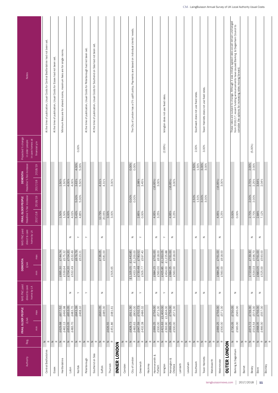| Authority               | Reg.                        | FRAIL OLDER PEOPLE<br>E/wk |                        | NHS FNC paid<br>direct to care<br>home by LA | <b>DEMENTIA</b><br>E/wk |                                                                                     | NHS FNC paid<br>direct to care<br>home by LA | Headline % fee increase<br>FRAIL OLDER PEOPLE | Headline % fee increase<br><b>DEMENTIA</b> |                   | Projected % change<br>in care homes at<br>in older people | Notes                                                                                                                                                                                                                                |
|-------------------------|-----------------------------|----------------------------|------------------------|----------------------------------------------|-------------------------|-------------------------------------------------------------------------------------|----------------------------------------------|-----------------------------------------------|--------------------------------------------|-------------------|-----------------------------------------------------------|--------------------------------------------------------------------------------------------------------------------------------------------------------------------------------------------------------------------------------------|
|                         |                             | min                        | max                    |                                              | min                     | max                                                                                 |                                              | 2018/19<br>2017/18                            | 2017/18                                    | 2018/19           | financial y/e                                             |                                                                                                                                                                                                                                      |
| Central Bedfordshire    | Z<br>$\simeq$               |                            |                        |                                              |                         |                                                                                     |                                              |                                               |                                            |                   |                                                           | At the time of publication, Usual Costs for Central Bedfordshire had not been set.                                                                                                                                                   |
| Essex                   | $\, \geq$<br>$\simeq$       |                            |                        |                                              |                         |                                                                                     |                                              |                                               |                                            |                   |                                                           | At the time of publication, Usual Costs for Essex had not been set                                                                                                                                                                   |
| Hertfordshire           | $\, \geq \,$ $\, \alpha$    | £629.68<br>£462.13         | £677.52<br>£496.98     |                                              | £695.30<br>£539.64      | £744.74<br>£575.32                                                                  |                                              | 1.50%<br>1.50%                                | 1.50%<br>1.50%                             |                   |                                                           | Minimum fees are for shared rooms, maximum fees are for single rooms.                                                                                                                                                                |
| Luton                   | $z \propto$                 | £653.05<br>£483.70         | £653.05<br>£483.70     | $\mathbb Z$                                  | £704.20<br>£532.49      | £704.20<br>£532.49                                                                  | z                                            | 4.00%<br>4.02%                                | 4.00%<br>4.00%                             |                   |                                                           |                                                                                                                                                                                                                                      |
| Norfolk                 | $\vert z \vert$<br>$\simeq$ |                            | £643.39<br>£468.10     | $\succ$                                      |                         | £676.79<br>£523.21                                                                  | ≻                                            | 5.00%<br>5.00%<br>5.43%<br>4.85%              | 3.63%<br>5.50%                             | 4.00%<br>5.00%    | 0.00%                                                     |                                                                                                                                                                                                                                      |
| Peterborough            | $\mathbb Z$ $\mathbbm{C}$   |                            |                        | $\rightarrow$                                |                         |                                                                                     | $\rightarrow$                                |                                               |                                            |                   |                                                           | At the time of publication, Usual Costs for Peterborough had not been set.                                                                                                                                                           |
| Southend on Sea         | $z \propto$                 |                            |                        |                                              |                         |                                                                                     |                                              |                                               |                                            |                   |                                                           | At the time of publication, Usual Costs for Southend on Sea had not been set.                                                                                                                                                        |
| Suffolk                 | $\, \geq \,$ $\, \simeq$    |                            | £640.05<br>£485.00     | z                                            |                         | £736.05<br>£581.00                                                                  | z                                            | 12.79%<br>20.05%                              | 4.31%<br>4.31%                             |                   |                                                           |                                                                                                                                                                                                                                      |
| Thurrock                | $z \propto$                 | £626.55<br>£451.86         | £481.61                |                                              | £505.65                 |                                                                                     |                                              | 3.00%<br>3.00%                                | 3.00%                                      |                   |                                                           |                                                                                                                                                                                                                                      |
| <b>INNER LONDON</b>     |                             |                            |                        |                                              |                         |                                                                                     |                                              |                                               |                                            |                   |                                                           |                                                                                                                                                                                                                                      |
| Camden                  | z<br>$\propto$              |                            |                        |                                              |                         |                                                                                     |                                              |                                               |                                            |                   |                                                           |                                                                                                                                                                                                                                      |
| City of London          | $\, \geq \,$ $\, \alpha$    | £483.63<br>£828.73         | £800.00<br>£911.30     | z                                            | £433.19<br>£1,105.05    | £1,443.85<br>£1,200.00                                                              | z                                            | $0.00\%$<br>0.00%                             |                                            | $0.00\%$<br>0.00% |                                                           | The City of London has a 0% uplift policy. Payments are based on individual clients' needs.                                                                                                                                          |
| Greenwich               | $z \propto$                 | £647.59<br>£432.28         | £702.73<br>£486.32     | $\rightarrow$                                | £730.48<br>£505.77      | £783.52<br>£597.40                                                                  | $\rightarrow$                                | 2.85%<br>0.00%                                | 2.98%<br>3.45%                             |                   |                                                           |                                                                                                                                                                                                                                      |
| Hackney                 | $z \propto$                 |                            |                        |                                              |                         |                                                                                     |                                              |                                               |                                            |                   |                                                           |                                                                                                                                                                                                                                      |
| Hammersmith &<br>Fulham | $z \propto$                 | £669.25<br>£500.00         | £756.00<br>£571.00     | z                                            | £560.00<br>£684.25      | £761.00<br>£618.00                                                                  | z                                            | 4.95%<br>3.25%                                | $(16.95\%)$<br>3.00%                       |                   |                                                           |                                                                                                                                                                                                                                      |
| Islington               | $ z  \propto$               | £421.63<br>£393.90         | £1,400.00<br>£1,834.00 | $\!>$                                        | £425.85<br>£454.00      | $\begin{array}{c} \text{\pounds}{1,263.05} \\ \text{\pounds}{1,225.88} \end{array}$ | $\rightarrow$                                |                                               |                                            |                   | (2.69%)                                                   | Islington does not use fixed rates.                                                                                                                                                                                                  |
| Kensington &<br>Chelsea | $z \propto$                 | £669.25<br>£500.00         | £756.00<br>£571.00     | $\mathbb Z$                                  | £684.25<br>£560.00      | £761.00<br>£618.00                                                                  | z                                            | 4.95%<br>3.25%                                | $(16.95\%)$<br>3.00%                       |                   |                                                           |                                                                                                                                                                                                                                      |
| Lambeth                 | $z \propto$                 |                            |                        |                                              |                         |                                                                                     |                                              |                                               |                                            |                   |                                                           |                                                                                                                                                                                                                                      |
| Lewisham                | $ z  \propto$               |                            |                        |                                              |                         |                                                                                     |                                              |                                               |                                            |                   |                                                           |                                                                                                                                                                                                                                      |
| Southwark               | $z \propto$                 |                            |                        | $\mathbf{z}$                                 |                         |                                                                                     | z                                            | 2.50%<br>1.50%                                |                                            | 2.50%<br>1.50%    | 2.00%                                                     | Southwark does not use fixed rates.                                                                                                                                                                                                  |
| Tower Hamlets           | $\mathbb Z$ $\mathbbm{C}$   |                            |                        | $\mathsf z$                                  |                         |                                                                                     | z                                            | 3.00%<br>3.00%                                |                                            | 3.00%<br>3.00%    | 3.00%                                                     | Tower Hamlets does not use fixed rates                                                                                                                                                                                               |
| Wandsworth              | $ z  \propto$               |                            |                        |                                              |                         |                                                                                     |                                              |                                               |                                            |                   |                                                           |                                                                                                                                                                                                                                      |
| Westminster             | $z \propto$                 | £669.25<br>£500.00         | £756.00<br>£571.00     | z                                            | £684.25<br>£560.00      | £761.00<br>£618.00                                                                  | z                                            | 4.95%<br>3.25%                                | $(16.95\%)$<br>3.00%                       |                   |                                                           |                                                                                                                                                                                                                                      |
| <b>OUTER LONDON</b>     |                             |                            |                        |                                              |                         |                                                                                     |                                              |                                               |                                            |                   |                                                           |                                                                                                                                                                                                                                      |
| Barking & Dagenham      | Z<br>$\simeq$               | £565.00<br>£730.05         | £730.05<br>£565.00     | z                                            |                         |                                                                                     |                                              | 0.00%<br>$0.00\%$                             |                                            |                   |                                                           | These rates are subject to change. Although it was initially agreed rates would remain unchanged<br>from 2016/17, recent funding announcements have caused Barking. & Dagenham Council to<br>consider the options for increasing rat |
| <b>Barnet</b>           | $z \propto$                 |                            |                        |                                              |                         |                                                                                     |                                              |                                               |                                            |                   |                                                           |                                                                                                                                                                                                                                      |
| Bexley                  | $\, \geq \,$ $\, \simeq$    | £673.72<br>£514.54         | £739.30<br>£574.00     | $\mathbb Z$                                  | £723.68<br>£534.03      | £739.30<br>£596.70                                                                  | z                                            | 2.00%<br>2.00%<br>2.70%<br>2.70%              | 2.70%<br>2.25%                             | 2.00%<br>2.00%    | (5.00%)                                                   |                                                                                                                                                                                                                                      |
| Brent                   | $ z $ $\alpha$              | £668.05<br>£466.00         | £756.00<br>£557.00     | $\mathsf{z}$                                 | £683.05<br>£525.00      | £761.00<br>£593.00                                                                  | z                                            | 2.84%<br>7.12%                                | 3.64%<br>2.04%                             |                   |                                                           |                                                                                                                                                                                                                                      |
| Bromley                 | $z \propto$                 |                            |                        |                                              |                         |                                                                                     |                                              |                                               |                                            |                   |                                                           |                                                                                                                                                                                                                                      |

laingbuissonnews.com | 2017/2018 | 11

CM - LaingBuisson Annual Survey of UK Local Authority Usual Costs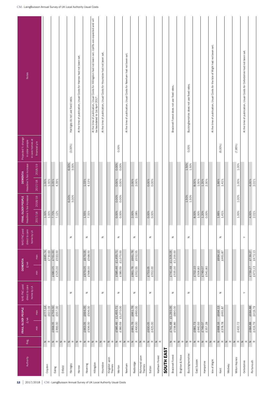| Notes                                                                      |                    |                               |               | Haringey do not use fixed rates. | At the time of publication, Usual Costs for Harrow had not been set. |                                          | At the time of publication, Usual Costs for Hillingdon had not been set. Uplifts are expected and will<br>be backdated to 1st April 2017. | At the time of publication, Usual Costs for Hounslow had not been set. |                                 |                                              | At the time of publication, Usual Costs for Newham had not been set. |                                          |                         |                           |                |            | Bracknell Forest does not use fixed rates. |                 | Buckinghamshire does not use fixed rates.    |                      |                           | At the time of publication, Usual Costs for the Isle of Wight had not been set. |                                          |        |                | At the time of publication, Usual Costs for Oxfordshire had not been set. |                                          |
|----------------------------------------------------------------------------|--------------------|-------------------------------|---------------|----------------------------------|----------------------------------------------------------------------|------------------------------------------|-------------------------------------------------------------------------------------------------------------------------------------------|------------------------------------------------------------------------|---------------------------------|----------------------------------------------|----------------------------------------------------------------------|------------------------------------------|-------------------------|---------------------------|----------------|------------|--------------------------------------------|-----------------|----------------------------------------------|----------------------|---------------------------|---------------------------------------------------------------------------------|------------------------------------------|--------|----------------|---------------------------------------------------------------------------|------------------------------------------|
| Projected % change<br>in care homes at<br>in older people<br>financial y/e |                    |                               |               | $(3.00\%)$                       |                                                                      |                                          |                                                                                                                                           |                                                                        |                                 | 0.00%                                        |                                                                      |                                          |                         |                           |                |            |                                            |                 | 0.00%                                        |                      |                           |                                                                                 | $(6.00\%)$                               |        | $(7.85\%)$     |                                                                           |                                          |
| Headline % fee increase<br>2018/19<br><b>DEMENTIA</b><br>2017/18           | $1.00\%$<br>1.00%  | 3.05%<br>4.39%                |               | 6.00%<br>3.00%                   |                                                                      | 1.03%<br>4.13%                           |                                                                                                                                           |                                                                        |                                 | 0.00%<br>0.00%<br>0.00%<br>0.00%             |                                                                      | 2.00%<br>2.00%                           |                         | 0.00%<br>0.00%            |                |            |                                            |                 | $1.50\%$<br>$1.50\%$                         | $8.00\%$<br>$1.00\%$ | $1.20\%$<br>2.30%         |                                                                                 | $1.66\%$<br>$1.41\%$                     |        | 1.00%<br>1.00% |                                                                           | $\frac{4.00\%}{2.01\%}$                  |
| Headline % fee increase<br>2018/19<br>FRAIL OLDER PEOPLE<br>2017/18        | 1.00%<br>1.00%     | 7.70%<br>7.12%                |               | 6.00%<br>3.00%                   |                                                                      | 1.55%<br>7.31%                           |                                                                                                                                           |                                                                        |                                 | 0.00%<br>0.00%<br>0.00%<br>0.00%             |                                                                      | 2.00%<br>2.08%                           |                         | $0.00\%$<br>0.00%         |                |            |                                            |                 | $1.50\%$<br>1.50%                            | 8.00%<br>1.00%       | 1.20%<br>0.00%            |                                                                                 | 1.66%<br>$1.4\,1\%$                      |        | 1.00%<br>1.00% |                                                                           | 4.00%<br>2.01%                           |
| NHS FNC paid<br>direct to care<br>home by LA                               |                    |                               |               | z                                |                                                                      | $\mathsf z$                              |                                                                                                                                           | $\mathsf{z}% _{T}\!\left( \mathsf{z}\right)$                           |                                 | $\mathbf{z}$                                 |                                                                      | z                                        |                         | $\mathsf z$               |                |            | $\mathsf z$                                |                 | $\mathsf{z}% _{T}\!\left( \mathsf{z}\right)$ |                      |                           |                                                                                 | $\mathsf z$                              |        |                | $\succ$                                                                   |                                          |
| max<br><b>DEMENTIA</b><br>$E/\mathsf{wk}$<br>min                           | £885.74<br>£730.69 | £761.00<br>£680.05<br>£525.00 |               |                                  |                                                                      | £679.05<br>£568.00<br>£679.05<br>£568.00 |                                                                                                                                           |                                                                        |                                 | £1,455.71<br>£1,070.00<br>£585.46<br>£380.59 |                                                                      | £661.76<br>£552.55<br>£661.76<br>£552.55 |                         | £753.05                   |                |            | £741.48 £1,505.05<br>£535.00 £1,200.00     |                 |                                              | £702.10<br>£506.80   | £749.07<br>£541.80        |                                                                                 | £694.13<br>£461.87                       |        |                |                                                                           | £739.27<br>£473.13<br>£473.13<br>£739.27 |
| NHS FNC paid<br>direct to care<br>home by LA                               |                    |                               |               | $\mathbb Z$                      |                                                                      | $\mathbb Z$                              |                                                                                                                                           | $\mathbb Z$                                                            |                                 | $\mathbb Z$                                  |                                                                      | $\mathbb Z$                              |                         | $\mathbb Z$               |                |            | $\mathbb Z$                                |                 | $\mathbb Z$                                  |                      |                           |                                                                                 | $\mathbb Z$                              |        |                | $\succ$                                                                   |                                          |
| FRAIL OLDER PEOPLE<br>max<br>$E/wk$<br>$\overline{\min}$                   | £777.14<br>£622.09 | £756.00<br>£466.00<br>£668.05 |               |                                  |                                                                      | £694.05<br>£506.00<br>£663.05<br>£506.00 |                                                                                                                                           |                                                                        |                                 | £1,455.71<br>£1,070.00<br>£585.46<br>£380.59 |                                                                      | £661.76<br>£490.00<br>£661.76<br>£490.00 |                         | £630.05<br>£425.00        |                |            | £741.48 £1,293.05<br>£538.86 £890.00       |                 |                                              | £681.73<br>£440.93   | £749.07<br>£357.28        |                                                                                 | £694.13<br>£461.87<br>£668.16<br>£378.78 |        | £432.72        |                                                                           | £684.88<br>£419.79<br>£684.88<br>£419.79 |
| Reg.                                                                       | $z \propto$        | $\, \geq \,$ $\, \simeq$      | $ z  \propto$ | $z \propto$                      | $\, \geq \,$ $\, \simeq$                                             | $ z $ $\alpha$                           |                                                                                                                                           |                                                                        | $z \alpha  z \alpha   z \alpha$ | $z \alpha   z \alpha$                        |                                                                      | $ z  \propto$                            | $ z  \propto$           | $ z  \propto  z  \propto$ |                |            | $z \propto$                                | $ z  \propto$   | $ z  \propto  z  \propto$                    |                      | $\mathbb Z$ $\mathbbm{C}$ |                                                                                 | $z \alpha  z \alpha   z \alpha$          |        | $z \propto$    | $ z $ $\alpha$                                                            | $ z $ $\alpha$                           |
| Authority                                                                  | Croydon            | Ealing                        | Enfield       | Haringey                         | Harrow                                                               | Havering                                 | Hillingdon                                                                                                                                | Hounslow                                                               | Kingston upon<br>Thames         | Merton                                       | Newham                                                               | Redbridge                                | Richmond upon<br>Thames | Sutton                    | Waltham Forest | SOUTH EAST | Bracknell Forest                           | Brighton & Hove | Buckinghamshire                              | East Sussex          | Hampshire                 | Isle of Wight                                                                   | Kent                                     | Medway | Milton Keynes  | Oxfordshire                                                               | Portsmouth                               |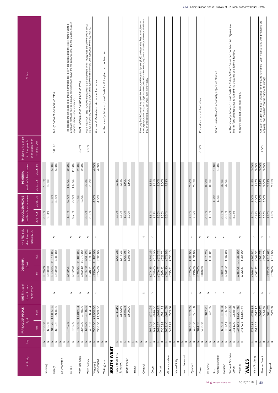| <b>Notes</b>                                  |                                   |                    | Slough does not use fixed fee rates.       |                             | The proposed fee increase is for those individuals at or below the current guidance rate. No fee uplift is<br>proposed for those services already commissioned above the fee guidance rate. The fee guidance rate is | reported above under 'minimum.' | West Berkshire does not used fixed fee rates. | Usual maximum rates include a standard and enhanced rate which recognises the differences in costs<br>across the country which have been highlighted by commissioners and supported by survey returns. | Windsor & Maidenhead do not use fixed rates. | At the time of publication, Usual Costs for Wokingham had not been set. |            |                                                        |             |                           |         | From July 2015 Comwall has used the Resource Allocation System (RAS) to determine fees. In addition to<br>meeting a person's assessed eligible care needs within the indicative/personal budget, the council will also<br>pay an add |                    |                                          |                               |                                          |                 |                           |                                          | Poole does not use fixed rates |                          |         | South Gloucestershire individually negotiates all rates. |                                          | At the time of publication, Usual Costs for Torbay & South Devon had not been set. Figures are<br>interim fees pending consultation and the outcome of a Judicial Review. | Wiltshire does not used fixed rates.         |       |                                                                                                                                                                                                                                                                                                                                                                                                                                                                                                                                                                     | Atthough an uplift has been awarded for the current financial year, negotiations with providers are<br>ongoing, and therefore may be subject to change. |                                          |
|-----------------------------------------------|-----------------------------------|--------------------|--------------------------------------------|-----------------------------|----------------------------------------------------------------------------------------------------------------------------------------------------------------------------------------------------------------------|---------------------------------|-----------------------------------------------|--------------------------------------------------------------------------------------------------------------------------------------------------------------------------------------------------------|----------------------------------------------|-------------------------------------------------------------------------|------------|--------------------------------------------------------|-------------|---------------------------|---------|--------------------------------------------------------------------------------------------------------------------------------------------------------------------------------------------------------------------------------------|--------------------|------------------------------------------|-------------------------------|------------------------------------------|-----------------|---------------------------|------------------------------------------|--------------------------------|--------------------------|---------|----------------------------------------------------------|------------------------------------------|---------------------------------------------------------------------------------------------------------------------------------------------------------------------------|----------------------------------------------|-------|---------------------------------------------------------------------------------------------------------------------------------------------------------------------------------------------------------------------------------------------------------------------------------------------------------------------------------------------------------------------------------------------------------------------------------------------------------------------------------------------------------------------------------------------------------------------|---------------------------------------------------------------------------------------------------------------------------------------------------------|------------------------------------------|
| Projected % change<br>in older people         | in care homes at<br>financial y/e |                    | $5.00 + \%$                                |                             |                                                                                                                                                                                                                      |                                 | 3.25%                                         | 2.00%                                                                                                                                                                                                  |                                              |                                                                         |            |                                                        |             |                           |         |                                                                                                                                                                                                                                      |                    |                                          |                               |                                          |                 |                           |                                          | 0.00%                          |                          |         |                                                          |                                          |                                                                                                                                                                           |                                              |       |                                                                                                                                                                                                                                                                                                                                                                                                                                                                                                                                                                     | 2.00%                                                                                                                                                   |                                          |
| Headline % fee increase<br><b>DEMENTIA</b>    | 2018/19<br>2017/18                | (7.00%)<br>0.00%   | 5.30%<br>5.30%                             |                             | 9.90%<br>11.00%                                                                                                                                                                                                      | 11.00%<br>11.00%                | 2.00%<br>2.00%                                | 3.03%<br>3.03%                                                                                                                                                                                         | 4.00%<br>4.00%                               |                                                                         |            | 2.24%<br>2.32%                                         | $1.80\%$    | $1.80\%$                  |         |                                                                                                                                                                                                                                      | 3.34%              | 2.50%<br>3.71%                           | 2.50%                         | 4.93%                                    |                 |                           | 2.80%<br>2.82%                           |                                | $0.00\%$<br>0.00%        | 1.30%   | 1.30%                                                    | 3.80%<br>3.80%                           |                                                                                                                                                                           |                                              |       | 3.00%<br>3.00%<br>3.45%<br>2.87%                                                                                                                                                                                                                                                                                                                                                                                                                                                                                                                                    | 3.00%<br>3.00%<br>$4.94\%$<br>3.00%                                                                                                                     | 2.72%<br>2.75%                           |
| Headline % fee increase<br>FRAIL OLDER PEOPLE | 2018/19<br>2017/18                | 0.00%<br>2.31%     | 5.30%<br>5.30%                             |                             | $9.90\%$<br>11.00%                                                                                                                                                                                                   | 8.80%<br>9.70%                  | 2.00%<br>2.00%                                | 3.02%<br>3.03%                                                                                                                                                                                         | 4.00%<br>4.00%                               |                                                                         |            | 2.39%<br>2.32%                                         | 1.00%       | 2.02%                     |         |                                                                                                                                                                                                                                      | 3.34%              | 2.50%<br>3.71%                           | 2.50%                         | 5.04%                                    |                 |                           | 2.80%<br>2.82%                           |                                | $0.00%$<br>$1.00%$       | 1.30%   | 1.30%                                                    | 3.80%<br>3.80%                           | 3.02%<br>5.16%                                                                                                                                                            |                                              |       | 3.00%<br>6.00%<br>3.10%<br>6.97%                                                                                                                                                                                                                                                                                                                                                                                                                                                                                                                                    | 3.00%<br>3.00%<br>3.00%<br>3.00%                                                                                                                        | 2.85%<br>2.85%                           |
| NHS FNC paid<br>direct to care                | home by LA                        |                    | z                                          |                             | $\mathbb Z$                                                                                                                                                                                                          |                                 | z                                             | z                                                                                                                                                                                                      | $\succ$                                      |                                                                         |            |                                                        |             |                           |         | $\mathbb Z$                                                                                                                                                                                                                          | $\succ$            |                                          |                               |                                          |                 |                           | $\succ$                                  | z                              | z                        |         | $\succ$                                                  | $\rightarrow$                            |                                                                                                                                                                           | $\mathsf z$                                  |       | $\rightarrow$                                                                                                                                                                                                                                                                                                                                                                                                                                                                                                                                                       | $\mathbb Z$                                                                                                                                             | $\succ$                                  |
| <b>DEMENTIA</b><br>$E/\mathsf{wk}$            | max<br>$\frac{c}{\overline{c}}$   | £679.88<br>£700.00 | £1,011.05<br>£800.00<br>£955.05<br>£700.00 |                             | £760.05                                                                                                                                                                                                              | £562.00                         | £1,105.05<br>£1,070.00<br>£684.95<br>£552.40  | £738.25<br>£633.69<br>£675.20<br>£546.11                                                                                                                                                               | £1,100.00<br>£800.00<br>£730.00<br>£574.00   |                                                                         |            | £729.38<br>£573.33                                     | £720.05     | £565.00                   |         |                                                                                                                                                                                                                                      | £701.25<br>£674.25 | £519.00<br>£676.77<br>£485.00<br>£676.77 | £521.72<br>£365.92            | £671.55<br>£556.13<br>£652.40<br>£535.51 |                 |                           | £703.05<br>£531.00<br>£490.00<br>£673.05 | £629.05<br>£460.00             | £678.25<br>£536.01       |         |                                                          | £597.08<br>£709.63<br>£550.62            |                                                                                                                                                                           | £1,200.00<br>£955.00<br>£481.05<br>£432.87   |       | £746.52<br>£547.32<br>£746.52<br>£547.32                                                                                                                                                                                                                                                                                                                                                                                                                                                                                                                            | £764.77<br>£603.75                                                                                                                                      | £813.67<br>£614.00<br>£578.00<br>£727.67 |
| NHS FNC paid<br>direct to care                | home by LA                        |                    | $\mathsf z$                                |                             | $\mathbb Z$                                                                                                                                                                                                          |                                 | z                                             | z                                                                                                                                                                                                      | $\succ$                                      |                                                                         |            |                                                        |             |                           |         | z                                                                                                                                                                                                                                    | $\succ$            |                                          |                               |                                          |                 |                           | ≻                                        | $\mathbb Z$                    | $\mathsf z$              |         | $\rightarrow$                                            | $\succ$                                  |                                                                                                                                                                           | $\mathsf z$                                  |       | $\left. \right. \right. \left. \right. \left. \right. \left. \right. \left. \right. \left. \left. \right. \left. \right. \left. \right. \left. \right. \left. \left. \right. \left. \right. \left. \left. \right. \right. \left. \left. \right. \left. \left. \right. \right. \left. \left. \right. \left. \right. \left. \left. \right. \right. \left. \left. \right. \right. \left. \left. \right. \right. \left. \left. \right. \left. \left. \right. \right. \left. \left. \right. \right. \left. \left. \right. \right. \left. \left. \right. \left. \left. \$ | $\mathbb Z$                                                                                                                                             | $\succ$                                  |
| FRAIL OLDER PEOPLE<br>$E/wk$                  | max<br>$\frac{1}{2}$              | £750.00<br>£665.00 | £1,055.05<br>£800.00<br>£812.25<br>£682.02 |                             | £760.05                                                                                                                                                                                                              | £486.00                         | £1,012.94<br>£750.00<br>£748.80<br>£650.00    | £738.25<br>£604.84<br>£675.20<br>£487.52                                                                                                                                                               | £1,000.00<br>£1,379.00<br>£536.00<br>£368.00 |                                                                         |            | £711.10<br>£552.89                                     | £660.05     | £505.00                   |         |                                                                                                                                                                                                                                      | £701.25<br>£674.25 | £519.00<br>£676.77<br>£485.00<br>£676.77 | £521.72<br>£671.55<br>£365.92 | £503.66<br>£652.40<br>£484.99            |                 |                           | £703.05<br>£531.00<br>£490.00<br>£673.05 | £644.05<br>£460.00             | £647.21                  | £471.75 |                                                          | £709.63<br>£486.72<br>£667.81<br>£434.44 | £721.05<br>£559.00<br>£698.05<br>£411.00                                                                                                                                  | £1,227.56<br>£1,851.64<br>£361.51<br>£417.71 |       | £715.82<br>£517.17<br>$\frac{£715.82}{£517.17}$                                                                                                                                                                                                                                                                                                                                                                                                                                                                                                                     | £686.77<br>£474.00                                                                                                                                      | £691.67<br>£542.00                       |
| Reg.                                          |                                   | $z \propto$        | $z \propto$                                | $\vert z \vert$<br>$\simeq$ | $\,$ $\,$                                                                                                                                                                                                            | $\simeq$                        | $\, \geq$<br>$\simeq$                         | $z \propto$                                                                                                                                                                                            | $\, \geq \,$ $\, \alpha$                     | $ z  \propto$                                                           |            | $\mathsf{z}% _{0}\left( \mathsf{z}\right)$<br>$\simeq$ |             | $ z  \propto  z  \propto$ |         | $\,$ $\,$<br>$\simeq$                                                                                                                                                                                                                | $z \propto$        |                                          |                               | $ z  \propto  z  \propto$                | $z \propto$     | $ z  \propto  z  \propto$ |                                          | $z \propto$                    | $\, \geq \,$ $\, \simeq$ |         | $ z  \propto$                                            | $z \propto$                              | $\, \geq \,$ $\, \alpha$                                                                                                                                                  | $ z  \propto$                                |       | $z \alpha$                                                                                                                                                                                                                                                                                                                                                                                                                                                                                                                                                          | $z \propto$                                                                                                                                             | $z \propto$                              |
| Authority                                     |                                   | Reading            | Slough                                     | Southampton                 | Surrey                                                                                                                                                                                                               |                                 | West Berkshire                                | West Sussex                                                                                                                                                                                            | Maidenhead<br>Windsor &                      | Wokingham                                                               | SOUTH WEST | Bath & North East<br>Somerset                          | Bournemouth |                           | Bristol | Cornwall                                                                                                                                                                                                                             | Devon              |                                          | Dorset                        | Gloucestershire                          | Isles of Scilly | North Somerset            | Plymouth                                 | Poole                          | Somerset                 | South   | Gloucestershire                                          | Swindon                                  | Torbay & Southern<br>Devon                                                                                                                                                | Wiltshire                                    | WALES | Isle of Anglesey                                                                                                                                                                                                                                                                                                                                                                                                                                                                                                                                                    | Blaenau Gwent                                                                                                                                           | Bridgend                                 |

laingbuissonnews.com | 2017/2018 | 13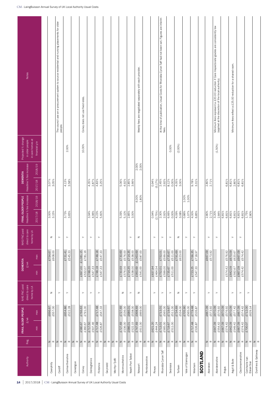|                              |                            | FRAIL OLDER PEOPLE       |                    | NHS FNC paid                 | <b>DEMENTIA</b>       |                                | NHS FNC paid                 | FRAIL OLDER PEOPLE                     | <b>DEMENTIA</b>         | Projected % change                  |                                                                                                                                                   |
|------------------------------|----------------------------|--------------------------|--------------------|------------------------------|-----------------------|--------------------------------|------------------------------|----------------------------------------|-------------------------|-------------------------------------|---------------------------------------------------------------------------------------------------------------------------------------------------|
| Authority                    | Reg.                       | $E/\mathsf{w}\mathsf{k}$ |                    | direct to care<br>home by LA | $\pounds / \text{wk}$ |                                | direct to care<br>home by LA | Headline % fee increase                | Headline % fee increase | in care homes at<br>in older people | <b>Notes</b>                                                                                                                                      |
|                              |                            | $\min$                   | max                |                              | min                   | max                            |                              | 2018/19<br>2017/18                     | 2018/19<br>2017/18      | financial y/e                       |                                                                                                                                                   |
|                              |                            |                          |                    |                              |                       |                                |                              |                                        |                         |                                     |                                                                                                                                                   |
| Caerphilly                   | $\simeq$<br>$\mathsf{z}$   |                          | £557.00<br>£696.67 | $\mathsf z$                  |                       | £608.00<br>£754.67             | $\mathsf z$                  | 3.00%<br>3.15%                         | 3.07%<br>3.05%          |                                     |                                                                                                                                                   |
| Cardiff                      | $\,$ $\,$<br>$\simeq$      |                          |                    | $\rightarrow$                |                       |                                | $\succ$                      |                                        |                         |                                     | The council use an e-procurement system to source residential and nursing placements for older<br>people.                                         |
| Carmarthenshire              | $\geq$<br>$\simeq$         |                          | £654.86<br>£522.28 | $\rightarrow$                |                       | £731.41<br>£545.33             | $\rightarrow$                | 3.73%<br>3.65%                         | 4.13%<br>3.58%          | 2.00%                               |                                                                                                                                                   |
| Ceredigion                   | $z \propto$                |                          |                    |                              |                       |                                |                              |                                        |                         |                                     |                                                                                                                                                   |
| Conwy                        | $\, \geq \,$ $\, \alpha$   | £580.67<br>£360.67       | £766.63<br>£791.00 | $\succ$                      | £697.00<br>£532.07    | £1,081.15<br>£781.16           | $\succ$                      |                                        |                         | 10.00%                              | Conwy does not use fixed rates.                                                                                                                   |
| Denbighshire                 | $\mathbb Z$ $\mathbbm{C}$  | £717.50<br>£507.46       |                    | $\succ$                      | £748.20<br>£547.33    |                                | $\succ$                      | 3.94%<br>4.96%                         | 4.35%<br>2.87%          |                                     |                                                                                                                                                   |
| Flintshire                   | $\, \simeq \,$ $\, \simeq$ | £717.48<br>£526.87       | £717.48<br>£547.33 | $\succ$                      | £748.18<br>£547.33    | £748.18<br>£547.33             | $\succ$                      | 4.23%<br>5.60%                         | 4.83%<br>3.25%          |                                     |                                                                                                                                                   |
| Gwynedd                      | $\,$ $\,$<br>$\simeq$      |                          |                    |                              |                       |                                |                              |                                        |                         |                                     |                                                                                                                                                   |
| Merthyr Tydfil               | $z \propto$                |                          |                    |                              |                       |                                |                              |                                        |                         |                                     |                                                                                                                                                   |
| Monmouthshire                | $ z  \propto$              | £727.69<br>£536.00       | £727.69<br>£536.00 | z                            | £730.69<br>£576.00    | $\frac{2}{2730.69}$<br>£576.00 |                              | 5.10%<br>5.09%                         | 4.92%<br>5.06%          |                                     |                                                                                                                                                   |
| Neath Port Talbot            | $z \propto$                | £522.15<br>£686.01       | £538.00<br>£686.01 | $\succ$                      | £714.35<br>£538.00    | £714.35<br>£538.00             | $\succ$                      | 2.85%<br>3.00%                         | 2.85%<br>3.66%          |                                     |                                                                                                                                                   |
| Newport                      | $z \propto$                | £747.69<br>£611.00       | £998.69<br>£669.00 | $\mathsf z$                  | £950.69<br>£541.00    | £1,063.69<br>£587.00           | z                            | 4.00%<br>1.80%                         | 2.00%<br>2.00%          |                                     | Weekly fees are negotiated separately with each provider.                                                                                         |
| Pembrokeshire                | $z \propto$                |                          |                    |                              |                       |                                |                              |                                        |                         |                                     |                                                                                                                                                   |
| Powys                        | $\mathbb Z$ $\mathbb Z$    | £621.20<br>£444.24       |                    | $\rightarrow$                | £637.94<br>£464.54    |                                | $\rightarrow$                | $0.94\%$<br>(2.75%)                    | 0.94%<br>(5.17%)        |                                     |                                                                                                                                                   |
| Rhondda Cynon Taff           | $ z  \propto$              | £713.01<br>£565.00       | £565.00<br>£713.01 | $\succ$                      | £599.00<br>£752.01    | £599.00<br>£752.01             | $\succ$                      | 2.30%<br>2.92%                         | 2.45%<br>2.92%          |                                     | At the time of publication, Usual Costs for Rhondda Cynon Taff had not been set. Figures are interim<br>fees.                                     |
| Swansea                      | $\, \geq \,$ $\, \alpha$   | £719.67<br>£511.00       | £511.00<br>£719.67 | $\succ$                      | £735.67<br>£511.00    | £511.00<br>£735.67             | $\succ$                      | 6.66%<br>0.00%                         | 8.12%<br>0.00%          | 0.00%                               |                                                                                                                                                   |
| Torfaen                      | $\mathsf z$<br>$\simeq$    |                          | £734.69<br>£534.00 | $\mathbb Z$                  |                       | £791.69<br>£623.00             | $\mathbb Z$                  | 4.09%<br>3.08%                         | 4.05%<br>3.00%          | (2.00%)                             |                                                                                                                                                   |
| Vale of Glamorgan            | $\, \geq \,$ $\, \alpha$   |                          | £705.90<br>£565.00 | $\succ$                      |                       |                                | $\succ$                      | $1.00\%$<br>1.00%<br>0.86%<br>$1.07\%$ |                         |                                     |                                                                                                                                                   |
| Wrexham                      | $\, \simeq \,$ $\, \simeq$ | £717.48<br>£526.87       | £779.48<br>£526.87 | $\succ$                      | £723.25<br>£547.33    | £766.35<br>£718.97             | $\succ$                      | 4.00%<br>6.85%                         | 9.78%<br>3.31%          |                                     |                                                                                                                                                   |
| SCOTLAND                     |                            |                          |                    |                              |                       |                                |                              |                                        |                         |                                     |                                                                                                                                                   |
| Aberdeen                     | $\mathsf{z}$<br>$\simeq$   |                          | £667.09<br>£573.92 | $\rightarrow$                |                       | £667.09<br>£573.92             | $\succ$                      | 2.80%<br>2.71%                         | 2.80%<br>2.71%          |                                     |                                                                                                                                                   |
| Aberdeenshire                | $\mathbb Z~\cong$          | £647.09<br>£554.42       | £670.09<br>£576.92 | $\succ$                      |                       |                                | $\succ$                      | 3.20%<br>2.84%                         |                         | $(1.50\%)$                          | Minimum fees represent a £20.00 reduction if Care Inspectorate grades are consistently low<br>(applied at the discretion of the local authority). |
| Angus                        | $z \propto$                | £667.09<br>£574.42       | £670.09<br>£576.92 |                              | £574.42               | £576.92                        |                              | 6.81%<br>6.81%                         | 6.81%                   |                                     |                                                                                                                                                   |
| Argyll & Bute                | $z \propto$                | £642.09<br>£549.42       | £670.09<br>£577.42 | $\succ$                      | £642.09<br>£592.67    | £670.09<br>£620.67             | $\succ$                      | 6.81%<br>6.81%                         | 6.81%<br>2.80%          |                                     | Minimum fees reflect a £25.00 reduction for a shared room.                                                                                        |
| Clackmannanshire             | $\mathbb Z$ $\mathbb C$    | £667.09<br>£574.42       | £667.09<br>£574.42 | $\succ$                      | £667.09<br>£574.42    | £667.09<br>£574.42             | $\succ$                      | 6.81%<br>6.81%                         | 6.81%<br>6.81%          |                                     |                                                                                                                                                   |
| Comhairle nan<br>Eilean Siar | $\, \geq$<br>$\simeq$      | £700.07                  | £712.00<br>£629.14 | $\succ$                      |                       |                                |                              | 1.75%<br>2.80%                         |                         |                                     |                                                                                                                                                   |
| Dumfries & Galloway          | $\mathbb Z~\cong$          |                          |                    |                              |                       |                                |                              |                                        |                         |                                     |                                                                                                                                                   |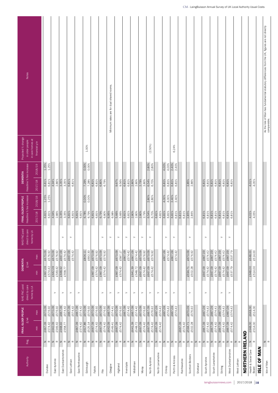| Notes                                                   |                                   |                       |                    |                    |                     |                                                                                                                                                                                                                                                                                                                                                                                                                                                                                                                                                                     |          |                          |                 |           |           |                |                       | Minimum rates are for dual shared rooms.                                                                                                                                                                                                                                                                                                                                                                                                                                                                                                                            |          |                       |            |          |                       |           |          |            |                   |                       |              |          |           |                 |                       |                  |          |                       |                |          |                         |           |               |                     |          |                       |                         |                               |         |             | As the Isle of Man has fundamental statutory differences from the UK, figures are not directly<br>comparable. |  |
|---------------------------------------------------------|-----------------------------------|-----------------------|--------------------|--------------------|---------------------|---------------------------------------------------------------------------------------------------------------------------------------------------------------------------------------------------------------------------------------------------------------------------------------------------------------------------------------------------------------------------------------------------------------------------------------------------------------------------------------------------------------------------------------------------------------------|----------|--------------------------|-----------------|-----------|-----------|----------------|-----------------------|---------------------------------------------------------------------------------------------------------------------------------------------------------------------------------------------------------------------------------------------------------------------------------------------------------------------------------------------------------------------------------------------------------------------------------------------------------------------------------------------------------------------------------------------------------------------|----------|-----------------------|------------|----------|-----------------------|-----------|----------|------------|-------------------|-----------------------|--------------|----------|-----------|-----------------|-----------------------|------------------|----------|-----------------------|----------------|----------|-------------------------|-----------|---------------|---------------------|----------|-----------------------|-------------------------|-------------------------------|---------|-------------|---------------------------------------------------------------------------------------------------------------|--|
| Projected % change<br>in older people                   | in care homes at<br>financial y/e |                       |                    |                    |                     |                                                                                                                                                                                                                                                                                                                                                                                                                                                                                                                                                                     |          |                          |                 | 1.00%     |           |                |                       |                                                                                                                                                                                                                                                                                                                                                                                                                                                                                                                                                                     |          |                       |            |          |                       |           |          | $(2.50\%)$ |                   |                       |              |          |           | 6.24%           |                       |                  |          |                       |                |          |                         |           |               |                     |          |                       |                         |                               |         |             |                                                                                                               |  |
|                                                         | 2018/19                           | 1.25%<br>1.25%        |                    |                    |                     |                                                                                                                                                                                                                                                                                                                                                                                                                                                                                                                                                                     |          |                          | 0.00%           | 0.00%     |           |                |                       |                                                                                                                                                                                                                                                                                                                                                                                                                                                                                                                                                                     |          |                       |            |          |                       |           |          | 2.80%      | 2.80%             |                       | 4.00%        | 4.00%    | 2.40%     | 2.40%           |                       |                  |          |                       |                |          |                         |           |               |                     |          |                       |                         |                               |         |             |                                                                                                               |  |
| Headline % fee increase<br><b>DEMENTIA</b>              | 2017/18                           | 6.81%<br>6.81%        | 4.94%              | 3.35%<br>2.86%     | 3.35%               | 6.81%                                                                                                                                                                                                                                                                                                                                                                                                                                                                                                                                                               | 6.81%    |                          | 7.29%           | 7.28%     | 6.81%     | 6.81%<br>6.80% | 6.79%                 |                                                                                                                                                                                                                                                                                                                                                                                                                                                                                                                                                                     |          | 9.67%<br>9.56%        | 6.81%      | 6.81%    | 2.80%<br>2.80%        | 2.79%     | 2.80%    | 6.54%      | 6.70%             |                       | 6.81%        | 6.81%    | 6.81%     | 6.81%           |                       | 2.85%            | 2.86%    |                       | 6.81%          | 6.81%    | 6.81%<br>6.81%          | 6.81%     | 6.81%         | 6.81%               | 6.81%    |                       |                         | 4.01%                         | 4.05%   |             |                                                                                                               |  |
| Headline % fee increase<br>FRAIL OLDER PEOPLE           | 2018/19                           | 1.25%<br>1.25%        |                    |                    |                     |                                                                                                                                                                                                                                                                                                                                                                                                                                                                                                                                                                     |          |                          | 0.00%           | 0.00%     |           |                |                       |                                                                                                                                                                                                                                                                                                                                                                                                                                                                                                                                                                     |          |                       |            |          |                       |           |          | 2.80%      | 2.80%             |                       | 4.00%        | 4.00%    | 2.40%     | 2.40%           |                       |                  |          |                       |                |          |                         |           |               |                     |          |                       |                         |                               |         |             |                                                                                                               |  |
|                                                         | 2017/18                           | 6.81%<br>6.81%        | 4.94%<br>2.86%     | 3.35%              | 3.35%               | 6.81%                                                                                                                                                                                                                                                                                                                                                                                                                                                                                                                                                               | 6.81%    | 6.81%<br>6.81%           | 6.78%           | 6.79%     | 6.81%     | 6.81%          | 6.79%<br>6.80%        | 6.95%                                                                                                                                                                                                                                                                                                                                                                                                                                                                                                                                                               | 6.98%    | 5.66%<br>5.66%        | 6.81%      | 6.81%    | 2.80%<br>2.80%        | 2.80%     | 2.79%    | 6.54%      | 6.70%             | 6.81%<br>4.81%        | 6.81%        | 6.81%    | 6.81%     | 6.81%           | 6.81%<br>6.81%        | 2.85%            | 2.86%    |                       | $6.81\%$       | 6.81%    | 6.81%<br>6.81%          | 6.81%     | 6.81%         | 6.81%               | 6.81%    |                       |                         | 4.01%                         | 4.05%   |             |                                                                                                               |  |
| NHS FNC paid<br>direct to care                          | home by LA                        |                       |                    |                    | $\left. \right.$    | $\left. \right. \right. \left. \right. \left. \right. \left. \right. \left. \right. \left. \left. \right. \left. \right. \left. \right. \left. \right. \left. \left. \right. \left. \right. \left. \left. \right. \right. \left. \left. \right. \left. \left. \right. \right. \left. \left. \right. \left. \right. \left. \left. \right. \right. \left. \left. \right. \right. \left. \left. \right. \right. \left. \left. \right. \left. \left. \right. \right. \left. \left. \right. \right. \left. \left. \right. \right. \left. \left. \right. \left. \left. \$ |          |                          |                 |           |           |                | $\succ$               | $\rightarrow$                                                                                                                                                                                                                                                                                                                                                                                                                                                                                                                                                       |          | $\succ$               | $\succ$    |          | $\succ$               |           | $\!>$    | $\succ$    |                   |                       |              | $\succ$  | $\succ$   |                 |                       | $\succ$          |          |                       | $\succ$        |          |                         |           | $\succ$       | $\succ$             |          |                       |                         |                               |         |             |                                                                                                               |  |
|                                                         | max                               | £670.09<br>£576.92    | £670.09            | £667.09<br>£576.92 | £574.42             | £667.09                                                                                                                                                                                                                                                                                                                                                                                                                                                                                                                                                             | £574.42  |                          | £804.11         | £692.30   | £670.09   | £576.92        | £670.09<br>£576.92    |                                                                                                                                                                                                                                                                                                                                                                                                                                                                                                                                                                     |          | £670.09<br>£587.17    | £667.09    | £574.42  | £667.09<br>£574.42    | £670.09   | £576.92  | £670.09    | £576.92           |                       | £667.09      | £574.42  | £667.09   | £574.42         |                       | £670.09          | £576.92  |                       | £667.09        | £574.42  | £667.09<br>£574.42      | £667.09   | £574.42       | £667.09             | £537.79  |                       |                         | £648.00                       |         |             |                                                                                                               |  |
| <b>DEMENTIA</b><br>$\pounds / \text{wk}$                | $\frac{1}{2}$                     | £667.09<br>£574.42    | £642.09<br>£549.42 |                    | £648.92<br>£558.77  |                                                                                                                                                                                                                                                                                                                                                                                                                                                                                                                                                                     |          |                          |                 |           | £667.09   | £574.42        | £667.09<br>£574.42    |                                                                                                                                                                                                                                                                                                                                                                                                                                                                                                                                                                     |          | £667.09<br>£574.42    |            |          | £641.39<br>£548.72    | £667.09   | £574.42  | £667.09    | £574.42           |                       |              |          |           |                 |                       | £594.71          | £502.28  |                       | £667.09        | £574.42  | £667.09<br>£574.42      | £667.09   | £574.42       | £667.09             | £537.79  |                       |                         | £648.00<br>£514.00            |         |             |                                                                                                               |  |
| NHS FNC paid<br>direct to care                          | home by LA                        |                       | $\succ$            |                    | $\succ$             | $\left. \right. \right. \left. \right. \left. \right. \left. \right. \left. \right. \left. \left. \right. \left. \right. \left. \right. \left. \right. \left. \left. \right. \left. \right. \left. \left. \right. \right. \left. \left. \right. \left. \left. \right. \right. \left. \left. \right. \left. \right. \left. \left. \right. \right. \left. \left. \right. \right. \left. \left. \right. \right. \left. \left. \right. \left. \left. \right. \right. \left. \left. \right. \right. \left. \left. \right. \right. \left. \left. \right. \left. \left. \$ |          | $\succ$                  |                 |           |           |                | $\succ$               | $\left. \right. \right. \left. \right. \left. \right. \left. \right. \left. \right. \left. \left. \right. \left. \right. \left. \right. \left. \right. \left. \left. \right. \left. \right. \left. \left. \right. \right. \left. \left. \right. \left. \left. \right. \right. \left. \left. \right. \left. \right. \left. \left. \right. \right. \left. \left. \right. \right. \left. \left. \right. \right. \left. \left. \right. \left. \left. \right. \right. \left. \left. \right. \right. \left. \left. \right. \right. \left. \left. \right. \left. \left. \$ |          | $\succ$               | $\succ$    |          | $\succ$               |           | $\succ$  | $\succ$    |                   | $\rightarrow$         |              | $\succ$  | $\succ$   |                 |                       | $\succ$          |          |                       | $\succ$        |          |                         |           | $\rightarrow$ | $\succ$             |          |                       |                         |                               |         |             |                                                                                                               |  |
|                                                         | max                               | £670.09<br>£576.92    | £670.09            | £576.92<br>£667.09 | £574.42             | £667.09                                                                                                                                                                                                                                                                                                                                                                                                                                                                                                                                                             | £574.42  | £667.09<br>£574.42       | £670.09         | £576.92   | £670.09   | £576.92        | £670.09<br>£576.92    | £667.09                                                                                                                                                                                                                                                                                                                                                                                                                                                                                                                                                             | £574.41  | £670.09<br>£576.92    | £667.09    | £574.42  | £667.09<br>£574.42    | £670.09   | £576.92  | £667.09    | £576.92           | £667.09<br>£574.42    | £667.09      | £574.42  | £667.09   | £574.42         |                       | £670.09          | £576.92  |                       | £667.09        | £574.42  | £667.09<br>£574.42      | £667.09   | £574.42       | £667.09             | £574.42  |                       |                         | £648.00<br>£514.00            |         |             |                                                                                                               |  |
| FRAIL OLDER PEOPLE<br>$\pounds / \mathsf{w} \mathsf{k}$ | $\frac{1}{2}$                     | £667.09<br>£574.42    | £642.09            | £549.42<br>£648.92 | £558.77             |                                                                                                                                                                                                                                                                                                                                                                                                                                                                                                                                                                     |          | £667.09<br>£574.42       | £617.86         | £525.14   | £667.09   | £574.42        | £667.09<br>£574.42    | £642.09                                                                                                                                                                                                                                                                                                                                                                                                                                                                                                                                                             | £549.41  | £667.09<br>£574.42    |            |          | £641.39<br>£548.72    | £667.09   | £574.42  | £667.09    | £574.42           | £667.09<br>£574.42    |              |          |           |                 | £667.09<br>£574.42    | £594.71          | £502.28  |                       | £667.09        | £574.42  | £667.09<br>£574.42      | £667.09   | £574.42       | £667.09             | £574.42  |                       |                         | £648.00                       | £514.00 |             |                                                                                                               |  |
| Reg.                                                    |                                   | $\,$ $\,$<br>$\simeq$ | z<br>$\simeq$      | $\mathsf{z}$       | $\simeq$            | $\,$ $\,$                                                                                                                                                                                                                                                                                                                                                                                                                                                                                                                                                           | $\simeq$ | $\mathsf{z}$<br>$\simeq$ | $\vert z \vert$ | $\simeq$  | $\,$ $\,$ | $\simeq$       | $\,$ $\,$<br>$\simeq$ | $\, \geq$                                                                                                                                                                                                                                                                                                                                                                                                                                                                                                                                                           | $\simeq$ | $\,$ $\,$<br>$\simeq$ | $\,$ $\,$  | $\simeq$ | $\,$ $\,$<br>$\simeq$ | $\,$ $\,$ | $\simeq$ |            | $\mathbb Z~\cong$ | $\,$ $\,$<br>$\simeq$ | $\mathbf{z}$ | $\simeq$ | $\,$ $\,$ | $\simeq$        | $\, \geq$<br>$\simeq$ | $\mathsf{z}$     | $\simeq$ | $\, \geq$<br>$\simeq$ | $\,$ $\,$      | $\simeq$ | $\mathsf z$<br>$\simeq$ | $\, \geq$ | $\simeq$      | $\,$ $\,$           | $\simeq$ | $\, \geq$<br>$\alpha$ |                         | $\geq$ $\alpha$               |         |             | $z \propto$                                                                                                   |  |
| Authority                                               |                                   | Dundee                | East Ayrshire      |                    | East Dunbartonshire | East Lothian                                                                                                                                                                                                                                                                                                                                                                                                                                                                                                                                                        |          | East Renfrewshire        |                 | Edinburgh | Falkirk   |                | Fife                  | Glasgow                                                                                                                                                                                                                                                                                                                                                                                                                                                                                                                                                             |          | Highland              | Inverclyde |          | Midlothian            |           | Moray    |            | North Ayrshire    | North Lanarkshire     |              | Orkney   |           | Perth & Kinross | Renfrewshire          | Scottish Borders |          | Shetland              | South Ayrshire |          | South Lanarkshire       |           | Stirling      | West Dunbartonshire |          | West Lothian          | <b>NORTHERN IRELAND</b> | Health & Social Care<br>Board |         | ISLE OF MAN | Isle of Man                                                                                                   |  |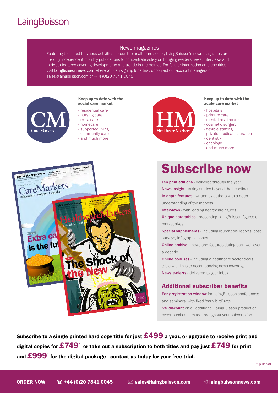# **LaingBuisson**

#### News magazines

Featuring the latest business activities across the healthcare sector, LaingBuisson's news magazines are the only independent monthly publications to concentrate solely on bringing readers news, interviews and in depth features covering developments and trends in the market. For further information on these titles visit laingbuissonnews.com where you can sign up for a trial, or contact our account managers on sales@laingbuisson.com or +44 (0)20 7841 0045



#### Keep up to date with the social care market

- residential care
- nursing care
- extra care
- homecare
- supported living
- community care
- and much more



#### Keep up to date with the acute care market

- hospitals
- primary care
- mental healthcare
- cosmetic surgery
- flexible staffing
- private medical insurance
- dentistry
- oncology
- and much more



# Subscribe now

Ten print editions - delivered through the year News insight - taking stories beyond the headlines In depth features - written by authors with a deep understanding of the markets

Interviews - with leading healthcare figures

Unique data tables - presenting LaingBuisson figures on market sizes

Special supplements - including roundtable reports, cost surveys, infographic posters

**Online archive** - news and features dating back well over a decade

**Online bonuses** - including a healthcare sector deals table with links to accompanying news coverage News e-alerts - delivered to your inbox

#### Additional subscriber benefits

**Early registration window** for LaingBuisson conferences and seminars, with fixed 'early bird' rate **5% discount** on all additional LaingBuisson product or event purchases made throughout your subscription

Subscribe to a single printed hard copy title for just  $\pmb{\pounds}499$  a year, or upgrade to receive print and digital copies for  $\boldsymbol{E749}^*$ , or take out a subscription to both titles and pay just  $\boldsymbol{\mathit{E749}}$  for print and  $\boldsymbol{\pounds}$ 999 $^*$  for the digital package - contact us today for your free trial.

\* plus vat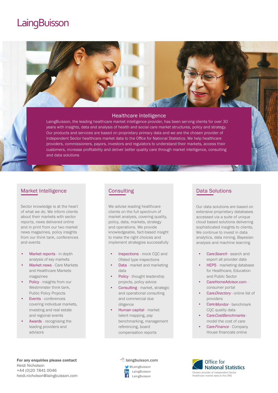# **LaingBuisson**



LaingBuisson, the leading healthcare market intelligence provider, has been serving clients for over 30 years with insights, data and analysis of health and social care market structures, policy and strategy. Our products and services are based on proprietary primary data and we are the chosen provider of Independent Sector healthcare market data to the Office for National Statistics. We help healthcare providers, commissioners, payors, investors and regulators to understand their markets, access their customers, increase profitability and deliver better quality care through market intelligence, consulting and data solutions

#### Market Intelligence

Sector knowledge is at the heart of what we do. We inform clients about their markets with sector reports, news delivered online and in print from our two market news magazines, policy insights from our think tank, conferences and events

- Market reports in depth analysis of key markets
- Market news Care Markets and Healthcare Markets magazines
- Policy insights from our Westminster think tank, Public Policy Projects
- Events conferences covering individual markets, investing and real estate and regional events
- Awards recognising the leading providers and advisors

#### **Consulting**

We advise leading healthcare clients on the full spectrum of market analysis, covering quality, policy, data, markets, strategy and operations. We provide knowledgeable, fact-based insight to make the right choices and implement strategies successfully

- Inspections mock CQC and Ofsted type inspections
- Data market and marketing data
- Policy thought leadership projects, policy advice
- Consulting market, strategic and operational consulting and commercial due diligence
- Human capital market talent mapping, pay benchmarking, management referencing, board compensation reports

# Data Solutions

Our data solutions are based on extensive proprietary databases accessed via a suite of unique cloud based solutions delivering sophisticated insights to clients. We continue to invest in data analytics, data mining, Bayesian analysis and machine learning

- CareSearch search and export all provider data
- HEPS marketing database for Healthcare, Education and Public Sector
- CareHomeAdvisor.com consumer portal
- CareDirectory online list of providers
- Care Monitor benchmark CQC quality data
- CareCostBenchmarks model the cost of care
- Care Finance Company House financials online

For any enquiries please contact Heidi Nicholson +44 (0)20 7841 0046 heidi.nicholson@laingbuisson.com

#### <sup></sub><sup>t</sup> laingbuisson.com</sup> @LaingBuisson LaingBuisson

LaingBuisson